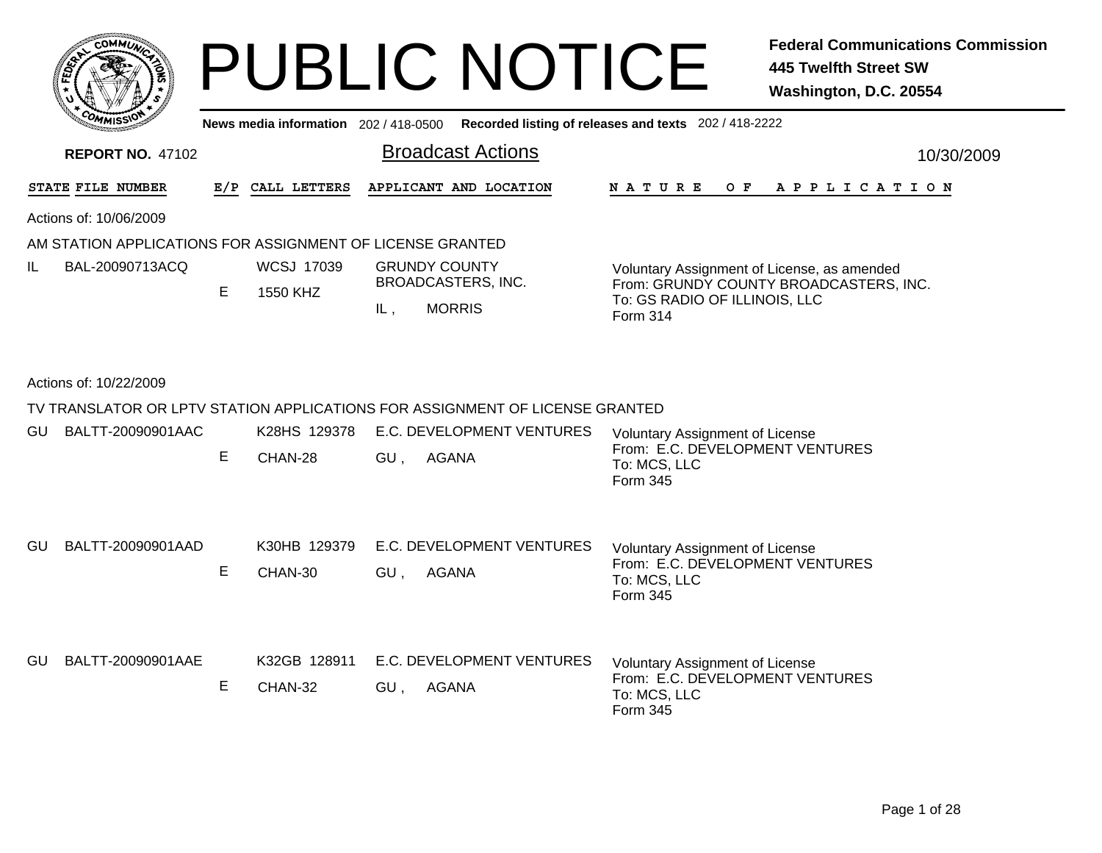|         | <b>MMUNT</b><br>$c_{\mathbf{O}}$ |    |
|---------|----------------------------------|----|
| Êç<br>c |                                  | ্ব |
|         |                                  |    |
|         | COM<br>MISS <sup>.</sup><br>---  |    |

**News media information** 202 / 418-0500**Recorded listing of releases and texts** 202 / 418-2222

| <b>REPORT NO. 47102</b> |                                                           |     |                               |     | <b>Broadcast Actions</b>                                                     | 10/30/2009                                                                                                                                |  |  |  |  |  |
|-------------------------|-----------------------------------------------------------|-----|-------------------------------|-----|------------------------------------------------------------------------------|-------------------------------------------------------------------------------------------------------------------------------------------|--|--|--|--|--|
|                         | STATE FILE NUMBER                                         | E/P | CALL LETTERS                  |     | APPLICANT AND LOCATION                                                       | <b>NATURE</b><br>OF APPLICATION                                                                                                           |  |  |  |  |  |
|                         | Actions of: 10/06/2009                                    |     |                               |     |                                                                              |                                                                                                                                           |  |  |  |  |  |
|                         | AM STATION APPLICATIONS FOR ASSIGNMENT OF LICENSE GRANTED |     |                               |     |                                                                              |                                                                                                                                           |  |  |  |  |  |
| IL.                     | BAL-20090713ACQ                                           | E   | <b>WCSJ 17039</b><br>1550 KHZ | IL, | <b>GRUNDY COUNTY</b><br>BROADCASTERS, INC.<br><b>MORRIS</b>                  | Voluntary Assignment of License, as amended<br>From: GRUNDY COUNTY BROADCASTERS, INC.<br>To: GS RADIO OF ILLINOIS, LLC<br><b>Form 314</b> |  |  |  |  |  |
| Actions of: 10/22/2009  |                                                           |     |                               |     |                                                                              |                                                                                                                                           |  |  |  |  |  |
|                         |                                                           |     |                               |     | TV TRANSLATOR OR LPTV STATION APPLICATIONS FOR ASSIGNMENT OF LICENSE GRANTED |                                                                                                                                           |  |  |  |  |  |
| GU.                     | BALTT-20090901AAC                                         |     | K28HS 129378                  |     | E.C. DEVELOPMENT VENTURES                                                    | Voluntary Assignment of License                                                                                                           |  |  |  |  |  |
|                         |                                                           | E.  | CHAN-28                       | GU, | <b>AGANA</b>                                                                 | From: E.C. DEVELOPMENT VENTURES<br>To: MCS, LLC<br>Form 345                                                                               |  |  |  |  |  |
| GU.                     | BALTT-20090901AAD                                         |     | K30HB 129379                  |     | E.C. DEVELOPMENT VENTURES                                                    | <b>Voluntary Assignment of License</b>                                                                                                    |  |  |  |  |  |
|                         |                                                           | E.  | CHAN-30                       | GU, | AGANA                                                                        | From: E.C. DEVELOPMENT VENTURES<br>To: MCS, LLC<br>Form 345                                                                               |  |  |  |  |  |
| <b>GU</b>               | BALTT-20090901AAE                                         | Е   | K32GB 128911<br>CHAN-32       | GU. | E.C. DEVELOPMENT VENTURES<br><b>AGANA</b>                                    | <b>Voluntary Assignment of License</b><br>From: E.C. DEVELOPMENT VENTURES<br>To: MCS, LLC<br>Form 345                                     |  |  |  |  |  |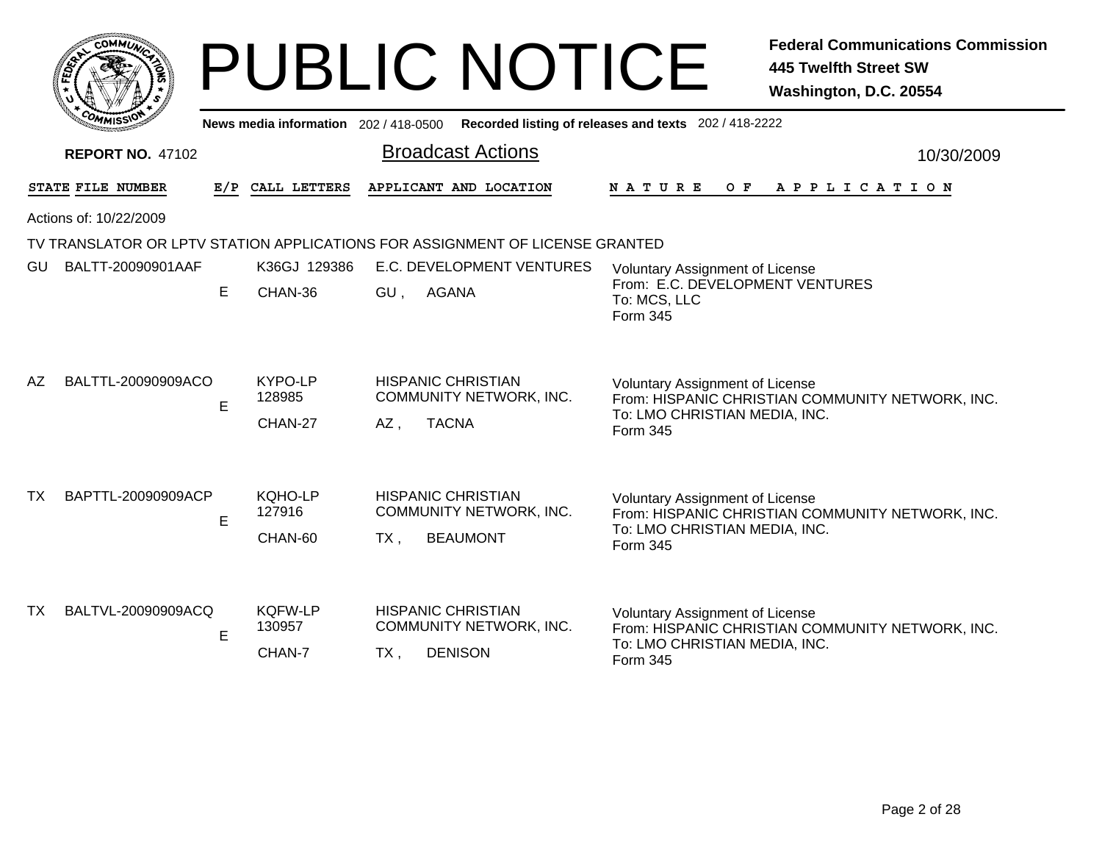|     |                         |    |                                       | <b>PUBLIC NOTICE</b>                                                                  | <b>445 Twelfth Street SW</b><br>Washington, D.C. 20554                                                                                  | <b>Federal Communications Commission</b> |
|-----|-------------------------|----|---------------------------------------|---------------------------------------------------------------------------------------|-----------------------------------------------------------------------------------------------------------------------------------------|------------------------------------------|
|     |                         |    | News media information 202 / 418-0500 |                                                                                       | Recorded listing of releases and texts 202 / 418-2222                                                                                   |                                          |
|     | <b>REPORT NO. 47102</b> |    |                                       | <b>Broadcast Actions</b>                                                              |                                                                                                                                         | 10/30/2009                               |
|     | STATE FILE NUMBER       |    | E/P CALL LETTERS                      | APPLICANT AND LOCATION                                                                | N A T U R E<br>OF APPLICATION                                                                                                           |                                          |
|     | Actions of: 10/22/2009  |    |                                       |                                                                                       |                                                                                                                                         |                                          |
|     |                         |    |                                       | TV TRANSLATOR OR LPTV STATION APPLICATIONS FOR ASSIGNMENT OF LICENSE GRANTED          |                                                                                                                                         |                                          |
| GU. | BALTT-20090901AAF       | E. | K36GJ 129386<br>CHAN-36               | E.C. DEVELOPMENT VENTURES<br><b>AGANA</b><br>GU,                                      | <b>Voluntary Assignment of License</b><br>From: E.C. DEVELOPMENT VENTURES<br>To: MCS, LLC<br>Form 345                                   |                                          |
| AZ. | BALTTL-20090909ACO      | E  | KYPO-LP<br>128985<br>CHAN-27          | <b>HISPANIC CHRISTIAN</b><br>COMMUNITY NETWORK, INC.<br><b>TACNA</b><br>AZ,           | <b>Voluntary Assignment of License</b><br>From: HISPANIC CHRISTIAN COMMUNITY NETWORK, INC.<br>To: LMO CHRISTIAN MEDIA, INC.<br>Form 345 |                                          |
| TX. | BAPTTL-20090909ACP      | E  | KQHO-LP<br>127916<br>CHAN-60          | <b>HISPANIC CHRISTIAN</b><br><b>COMMUNITY NETWORK, INC.</b><br><b>BEAUMONT</b><br>TX. | <b>Voluntary Assignment of License</b><br>From: HISPANIC CHRISTIAN COMMUNITY NETWORK, INC.<br>To: LMO CHRISTIAN MEDIA, INC.<br>Form 345 |                                          |
| TX. | BALTVL-20090909ACQ      | E  | <b>KQFW-LP</b><br>130957<br>CHAN-7    | <b>HISPANIC CHRISTIAN</b><br>COMMUNITY NETWORK, INC.<br><b>DENISON</b><br>$TX$ ,      | <b>Voluntary Assignment of License</b><br>From: HISPANIC CHRISTIAN COMMUNITY NETWORK, INC.<br>To: LMO CHRISTIAN MEDIA, INC.<br>Form 345 |                                          |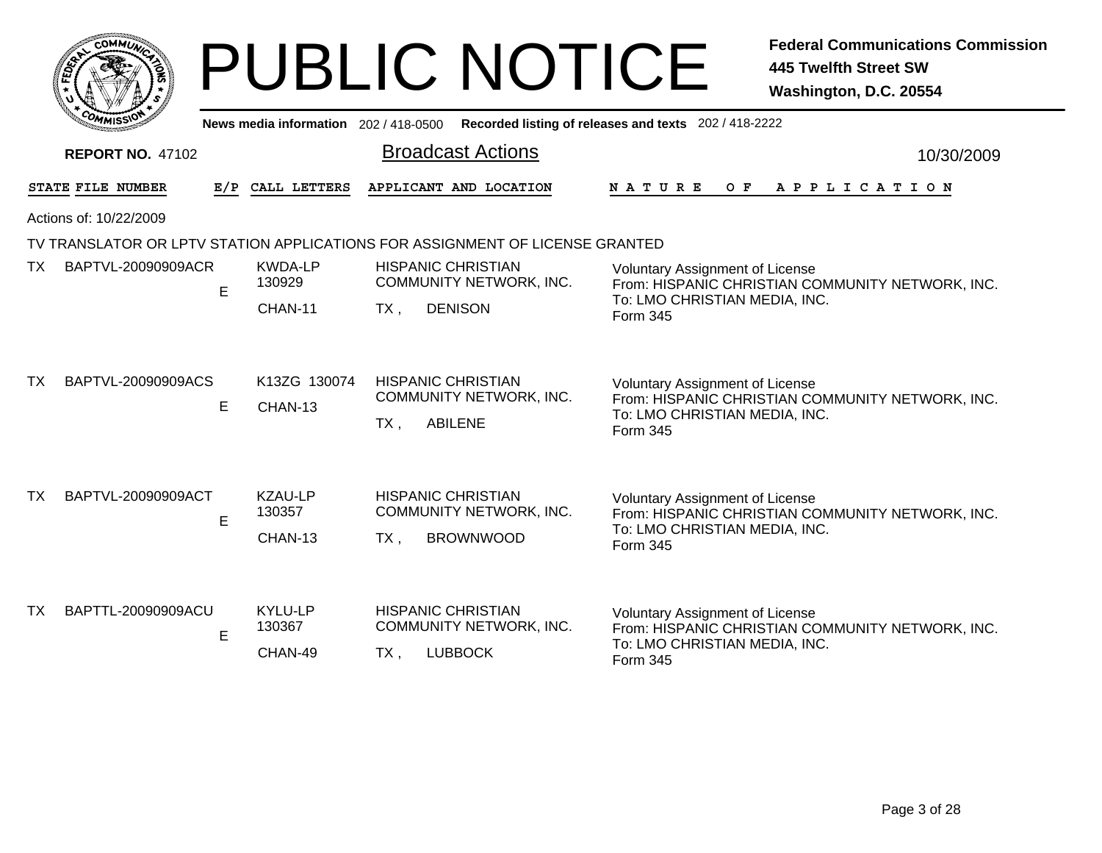|                       | <b>MMUNICT</b><br>CO <sub>1</sub> |  |
|-----------------------|-----------------------------------|--|
| ED <sub>EY</sub><br>正 |                                   |  |
|                       |                                   |  |
|                       | COM<br>MISS'<br>---               |  |

|           | <b><i>UMMISS</i></b>    |   |                                     |        |                                                                              | News media information 202/418-0500 Recorded listing of releases and texts 202/418-2222       |  |  |  |
|-----------|-------------------------|---|-------------------------------------|--------|------------------------------------------------------------------------------|-----------------------------------------------------------------------------------------------|--|--|--|
|           | <b>REPORT NO. 47102</b> |   |                                     |        | <b>Broadcast Actions</b>                                                     | 10/30/2009                                                                                    |  |  |  |
|           | STATE FILE NUMBER       |   | E/P CALL LETTERS                    |        | APPLICANT AND LOCATION                                                       | <b>NATURE</b><br>O F<br>A P P L I C A T I O N                                                 |  |  |  |
|           | Actions of: 10/22/2009  |   |                                     |        |                                                                              |                                                                                               |  |  |  |
|           |                         |   |                                     |        | TV TRANSLATOR OR LPTV STATION APPLICATIONS FOR ASSIGNMENT OF LICENSE GRANTED |                                                                                               |  |  |  |
| TX        | BAPTVL-20090909ACR      | E | <b>KWDA-LP</b><br>130929            |        | <b>HISPANIC CHRISTIAN</b><br>COMMUNITY NETWORK, INC.                         | <b>Voluntary Assignment of License</b><br>From: HISPANIC CHRISTIAN COMMUNITY NETWORK, INC.    |  |  |  |
|           |                         |   | <b>DENISON</b><br>CHAN-11<br>$TX$ , |        |                                                                              | To: LMO CHRISTIAN MEDIA, INC.<br>Form 345                                                     |  |  |  |
| <b>TX</b> | BAPTVL-20090909ACS      |   | K13ZG 130074                        |        | <b>HISPANIC CHRISTIAN</b>                                                    | <b>Voluntary Assignment of License</b>                                                        |  |  |  |
|           |                         | E | CHAN-13                             | $TX$ , | COMMUNITY NETWORK, INC.<br><b>ABILENE</b>                                    | From: HISPANIC CHRISTIAN COMMUNITY NETWORK, INC.<br>To: LMO CHRISTIAN MEDIA, INC.<br>Form 345 |  |  |  |
| <b>TX</b> | BAPTVL-20090909ACT      | E | KZAU-LP<br>130357                   |        | <b>HISPANIC CHRISTIAN</b><br><b>COMMUNITY NETWORK, INC.</b>                  | <b>Voluntary Assignment of License</b><br>From: HISPANIC CHRISTIAN COMMUNITY NETWORK, INC.    |  |  |  |
|           |                         |   | CHAN-13                             | TX,    | <b>BROWNWOOD</b>                                                             | To: LMO CHRISTIAN MEDIA, INC.<br>Form 345                                                     |  |  |  |
| TX        | BAPTTL-20090909ACU      |   | KYLU-LP                             |        | <b>HISPANIC CHRISTIAN</b>                                                    |                                                                                               |  |  |  |
|           |                         | E | 130367                              |        | COMMUNITY NETWORK, INC.                                                      | <b>Voluntary Assignment of License</b><br>From: HISPANIC CHRISTIAN COMMUNITY NETWORK, INC.    |  |  |  |
|           |                         |   | CHAN-49                             | TX,    | <b>LUBBOCK</b>                                                               | To: LMO CHRISTIAN MEDIA, INC.<br><b>Form 345</b>                                              |  |  |  |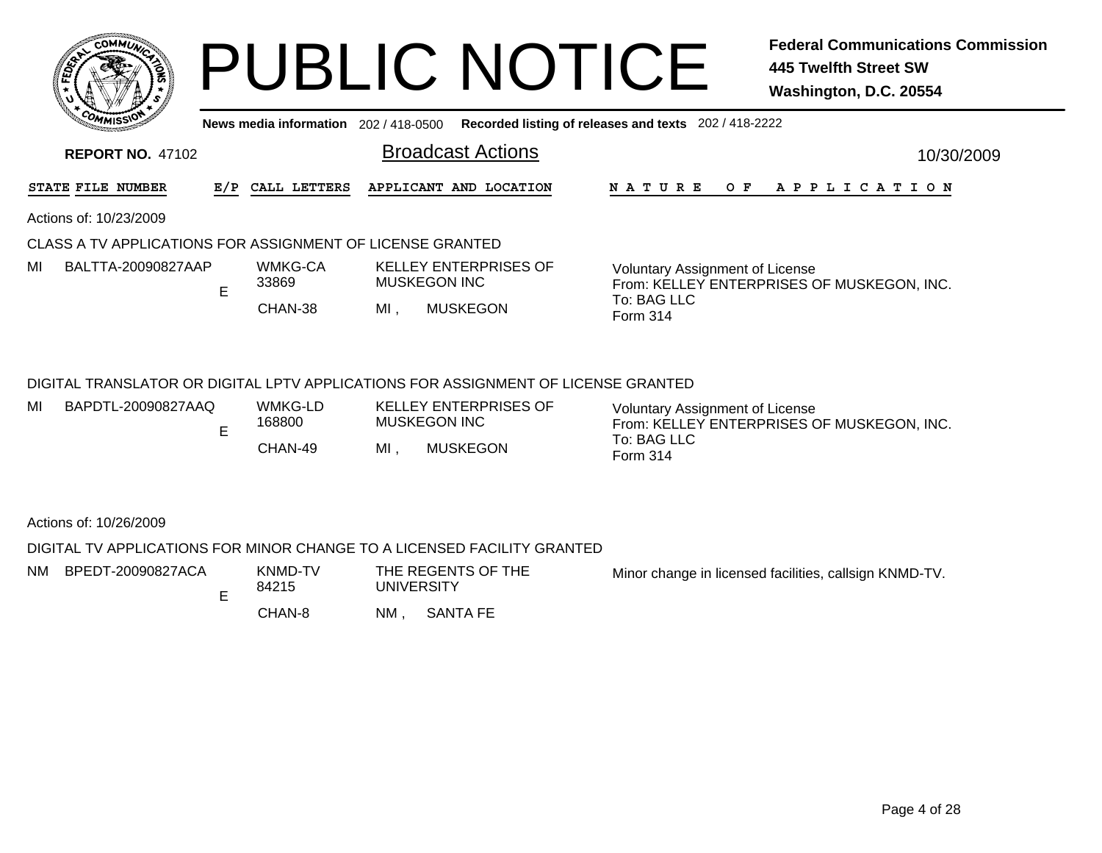|      | $c_{\mathbf{O}}$ | <b>MMUNA</b> |        |
|------|------------------|--------------|--------|
| ន្មិ |                  |              | ્<br>蒚 |
|      |                  |              |        |
|      | COM              | MISS<br>mua  |        |

MI

## PUBLIC NOTICE **Federal Communications Commission 445 Twelfth Street SW Washington, D.C. 20554**

**News media information** 202 / 418-0500**Recorded listing of releases and texts** 202 / 418-2222

|    | <b>REPORT NO. 47102</b>                                   |  |                  |                                              |                                                                                      |  |                                                                                      |             |  |  |  |  |     |  |  |  | 10/30/2009 |  |                       |
|----|-----------------------------------------------------------|--|------------------|----------------------------------------------|--------------------------------------------------------------------------------------|--|--------------------------------------------------------------------------------------|-------------|--|--|--|--|-----|--|--|--|------------|--|-----------------------|
|    | STATE FILE NUMBER                                         |  | E/P CALL LETTERS |                                              | APPLICANT AND LOCATION                                                               |  |                                                                                      | N A T U R E |  |  |  |  | O F |  |  |  |            |  | A P P L I C A T I O N |
|    | Actions of: 10/23/2009                                    |  |                  |                                              |                                                                                      |  |                                                                                      |             |  |  |  |  |     |  |  |  |            |  |                       |
|    | CLASS A TV APPLICATIONS FOR ASSIGNMENT OF LICENSE GRANTED |  |                  |                                              |                                                                                      |  |                                                                                      |             |  |  |  |  |     |  |  |  |            |  |                       |
| MI | BALTTA-20090827AAP<br>E                                   |  | WMKG-CA<br>33869 | <b>KELLEY ENTERPRISES OF</b><br>MUSKEGON INC |                                                                                      |  | <b>Voluntary Assignment of License</b><br>From: KELLEY ENTERPRISES OF MUSKEGON, INC. |             |  |  |  |  |     |  |  |  |            |  |                       |
|    |                                                           |  | CHAN-38          | MI.                                          | <b>MUSKEGON</b>                                                                      |  | To: BAG LLC<br>Form 314                                                              |             |  |  |  |  |     |  |  |  |            |  |                       |
|    |                                                           |  |                  |                                              |                                                                                      |  |                                                                                      |             |  |  |  |  |     |  |  |  |            |  |                       |
|    |                                                           |  |                  |                                              | DIGITAL TRANSI ATOR OR DIGITAL I PTV APPLICATIONS FOR ASSIGNMENT OF LICENSE GRANTED. |  |                                                                                      |             |  |  |  |  |     |  |  |  |            |  |                       |

### BITAL TRANSLATOR OR DIGITAL LPTV APPLICATIO

| МΙ | BAPDTL-20090827AAQ | WMKG-LD | <b>KELLEY ENTERPRISES OF</b> |
|----|--------------------|---------|------------------------------|
|    |                    | 168800  | <b>MUSKEGON INC</b>          |

- CHAN-49E
- , MUSKEGON  $MI$ . MUSKEGON INC

Voluntary Assignment of License From: KELLEY ENTERPRISES OF MUSKEGON, INC. To: BAG LLCForm 314

### Actions of: 10/26/2009

DIGITAL TV APPLICATIONS FOR MINOR CHANGE TO A LICENSED FACILITY GRANTED

| NM | BPEDT-20090827ACA | KNMD-TV<br>84215 | THE REGENTS OF THE<br><b>UNIVERSITY</b> |                 | Minor change in licensed facilities, callsign KNMD-TV. |
|----|-------------------|------------------|-----------------------------------------|-----------------|--------------------------------------------------------|
|    |                   | CHAN-8           | NM                                      | <b>SANTA FE</b> |                                                        |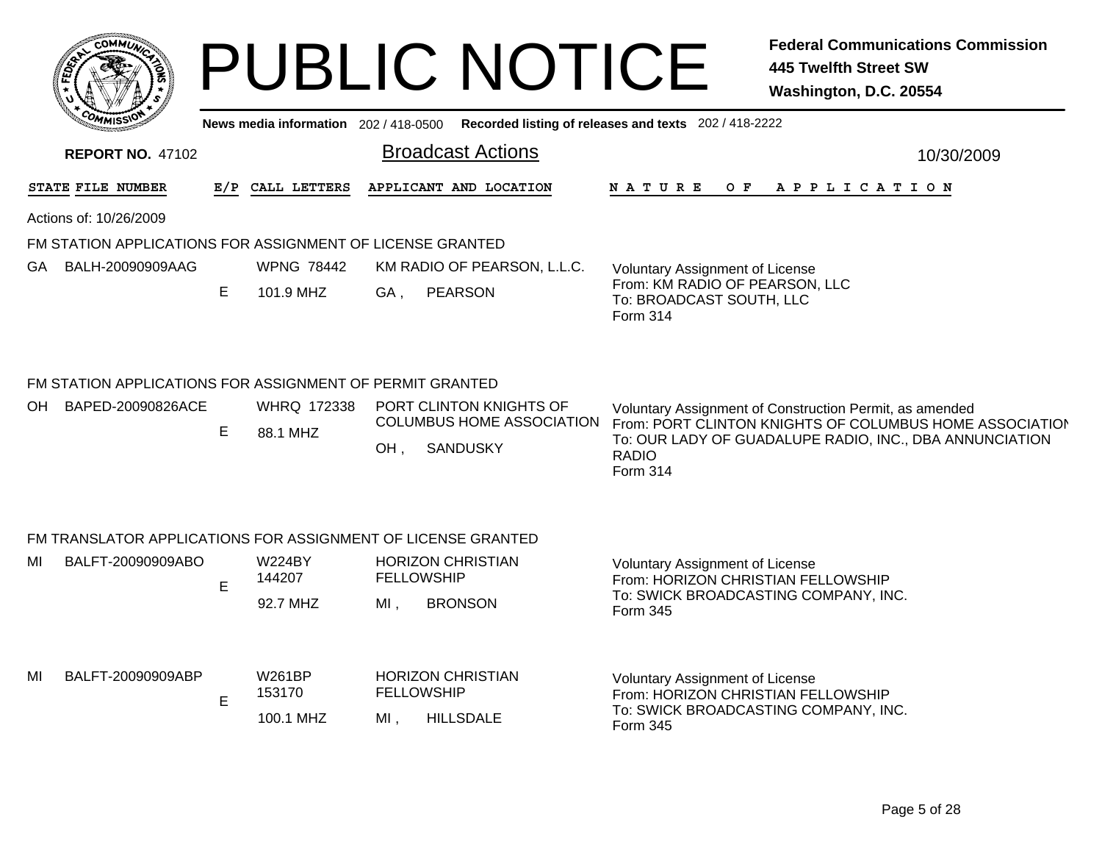| COMMUL                                                                              |     | News media information 202 / 418-0500 |     | <b>PUBLIC NOTICE</b><br>Recorded listing of releases and texts 202 / 418-2222  |                                                                                                           |     | <b>Federal Communications Commission</b><br>445 Twelfth Street SW<br>Washington, D.C. 20554                                                                                   |  |  |  |
|-------------------------------------------------------------------------------------|-----|---------------------------------------|-----|--------------------------------------------------------------------------------|-----------------------------------------------------------------------------------------------------------|-----|-------------------------------------------------------------------------------------------------------------------------------------------------------------------------------|--|--|--|
| <b>REPORT NO. 47102</b>                                                             |     |                                       |     | <b>Broadcast Actions</b>                                                       |                                                                                                           |     | 10/30/2009                                                                                                                                                                    |  |  |  |
| STATE FILE NUMBER                                                                   | E/P | CALL LETTERS                          |     | APPLICANT AND LOCATION                                                         | <b>NATURE</b>                                                                                             | O F | A P P L I C A T I O N                                                                                                                                                         |  |  |  |
| Actions of: 10/26/2009                                                              |     |                                       |     |                                                                                |                                                                                                           |     |                                                                                                                                                                               |  |  |  |
| FM STATION APPLICATIONS FOR ASSIGNMENT OF LICENSE GRANTED                           |     |                                       |     |                                                                                |                                                                                                           |     |                                                                                                                                                                               |  |  |  |
| BALH-20090909AAG<br>GA.                                                             | E.  | <b>WPNG 78442</b><br>101.9 MHZ        | GA. | KM RADIO OF PEARSON, L.L.C.<br><b>PEARSON</b>                                  | Voluntary Assignment of License<br>From: KM RADIO OF PEARSON, LLC<br>To: BROADCAST SOUTH, LLC<br>Form 314 |     |                                                                                                                                                                               |  |  |  |
| FM STATION APPLICATIONS FOR ASSIGNMENT OF PERMIT GRANTED<br>BAPED-20090826ACE<br>OH | E.  | <b>WHRQ 172338</b><br>88.1 MHZ        | OH, | PORT CLINTON KNIGHTS OF<br><b>COLUMBUS HOME ASSOCIATION</b><br><b>SANDUSKY</b> | <b>RADIO</b><br>Form 314                                                                                  |     | Voluntary Assignment of Construction Permit, as amended<br>From: PORT CLINTON KNIGHTS OF COLUMBUS HOME ASSOCIATION<br>To: OUR LADY OF GUADALUPE RADIO, INC., DBA ANNUNCIATION |  |  |  |

#### FM TRANSLATOR APPLICATIONS FOR ASSIGNMENT OF LICENSE GRANTED

| MI | BALFT-20090909ABO | <b>W224BY</b><br>144207<br>92.7 MHZ | <b>HORIZON CHRISTIAN</b><br><b>FELLOWSHIP</b><br><b>BRONSON</b><br>MI   | <b>Voluntary Assignment of License</b><br>From: HORIZON CHRISTIAN FELLOWSHIP<br>To: SWICK BROADCASTING COMPANY, INC.<br>Form 345 |
|----|-------------------|-------------------------------------|-------------------------------------------------------------------------|----------------------------------------------------------------------------------------------------------------------------------|
| MI | BALFT-20090909ABP | W261BP<br>153170<br>100.1 MHZ       | <b>HORIZON CHRISTIAN</b><br><b>FELLOWSHIP</b><br><b>HILLSDALE</b><br>МI | <b>Voluntary Assignment of License</b><br>From: HORIZON CHRISTIAN FELLOWSHIP<br>To: SWICK BROADCASTING COMPANY, INC.<br>Form 345 |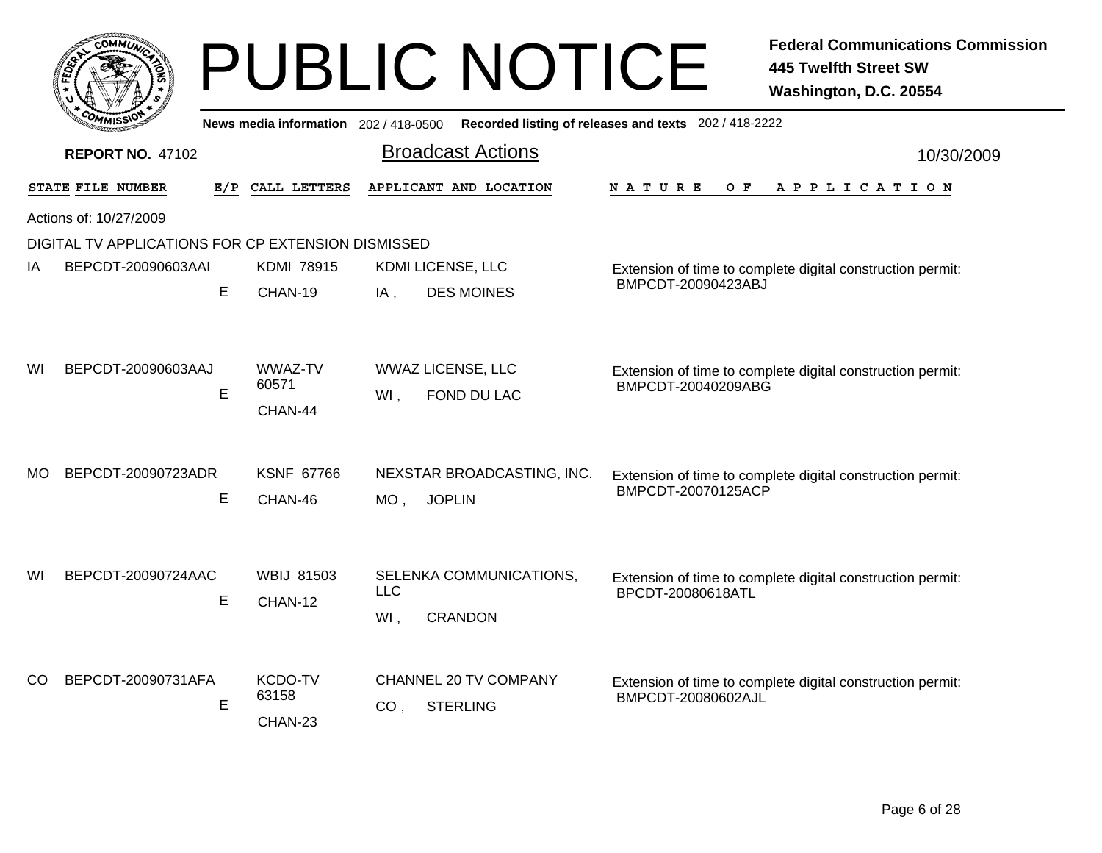|     |                                                    |             |                                       | <b>PUBLIC NOTICE</b>                                           | <b>Federal Communications Commission</b><br><b>445 Twelfth Street SW</b><br>Washington, D.C. 20554 |
|-----|----------------------------------------------------|-------------|---------------------------------------|----------------------------------------------------------------|----------------------------------------------------------------------------------------------------|
|     |                                                    |             | News media information 202 / 418-0500 |                                                                | Recorded listing of releases and texts 202 / 418-2222                                              |
|     | <b>REPORT NO. 47102</b>                            |             |                                       | <b>Broadcast Actions</b>                                       | 10/30/2009                                                                                         |
|     | STATE FILE NUMBER                                  | E/P         | CALL LETTERS                          | APPLICANT AND LOCATION                                         | <b>NATURE</b><br>O F<br>APPLICATION                                                                |
|     | Actions of: 10/27/2009                             |             |                                       |                                                                |                                                                                                    |
|     | DIGITAL TV APPLICATIONS FOR CP EXTENSION DISMISSED |             |                                       |                                                                |                                                                                                    |
| ΙA  | BEPCDT-20090603AAI                                 |             | <b>KDMI 78915</b>                     | KDMI LICENSE, LLC                                              | Extension of time to complete digital construction permit:                                         |
|     |                                                    | E           | CHAN-19                               | <b>DES MOINES</b><br>$IA$ ,                                    | BMPCDT-20090423ABJ                                                                                 |
| WI  | BEPCDT-20090603AAJ                                 | $\mathsf E$ | WWAZ-TV<br>60571<br>CHAN-44           | <b>WWAZ LICENSE, LLC</b><br>WI.<br>FOND DU LAC                 | Extension of time to complete digital construction permit:<br>BMPCDT-20040209ABG                   |
| МO  | BEPCDT-20090723ADR                                 | Е           | <b>KSNF 67766</b><br>CHAN-46          | NEXSTAR BROADCASTING, INC.<br>$MO$ ,<br><b>JOPLIN</b>          | Extension of time to complete digital construction permit:<br>BMPCDT-20070125ACP                   |
| WI  | BEPCDT-20090724AAC                                 | Е           | <b>WBIJ 81503</b><br>CHAN-12          | SELENKA COMMUNICATIONS,<br><b>LLC</b><br><b>CRANDON</b><br>WI. | Extension of time to complete digital construction permit:<br>BPCDT-20080618ATL                    |
| CO. | BEPCDT-20090731AFA                                 | E           | KCDO-TV<br>63158<br>CHAN-23           | CHANNEL 20 TV COMPANY<br><b>STERLING</b><br>CO.                | Extension of time to complete digital construction permit:<br>BMPCDT-20080602AJL                   |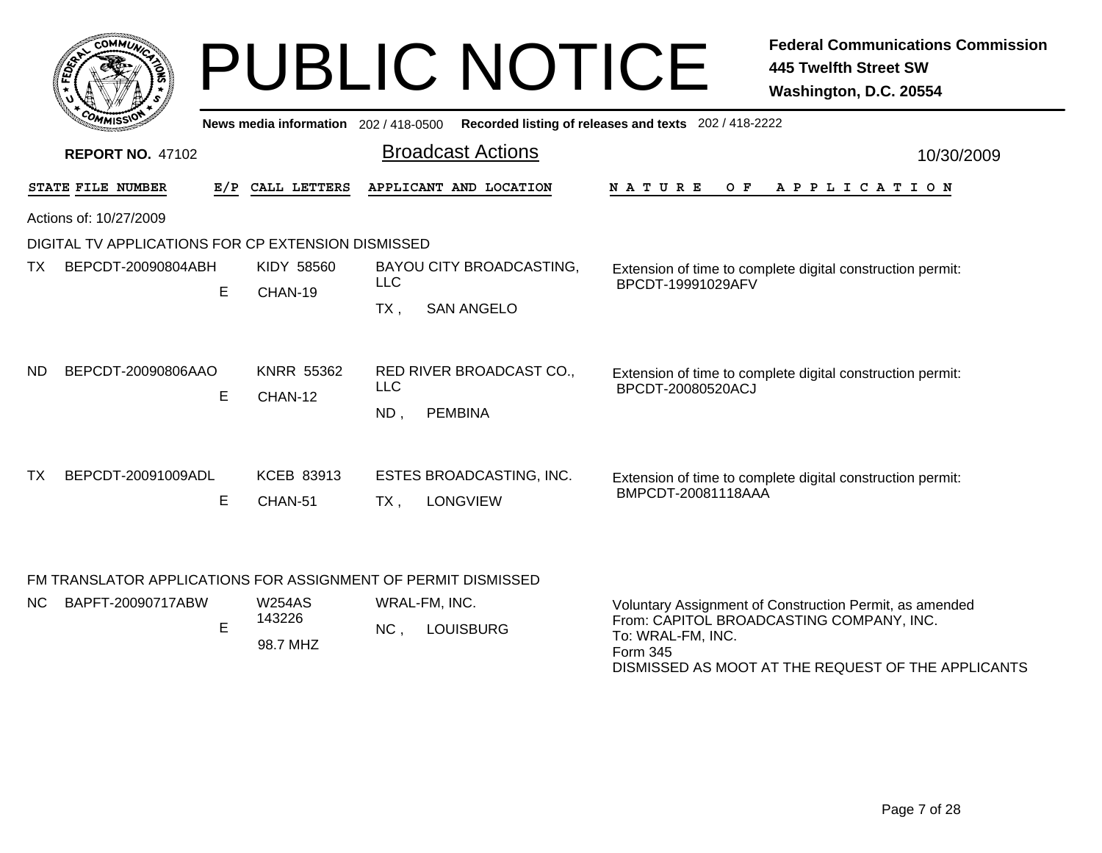| COMMUN |                                             |                                                                                           |                                                                    |                                                                                             | <b>Federal Communications Commission</b><br><b>445 Twelfth Street SW</b><br>Washington, D.C. 20554 |
|--------|---------------------------------------------|-------------------------------------------------------------------------------------------|--------------------------------------------------------------------|---------------------------------------------------------------------------------------------|----------------------------------------------------------------------------------------------------|
|        |                                             |                                                                                           |                                                                    |                                                                                             |                                                                                                    |
|        |                                             |                                                                                           | <b>Broadcast Actions</b>                                           |                                                                                             | 10/30/2009                                                                                         |
|        | E/P                                         | CALL LETTERS                                                                              | APPLICANT AND LOCATION                                             | N A T U R E<br>O F                                                                          | A P P L I C A T I O N                                                                              |
|        |                                             |                                                                                           |                                                                    |                                                                                             |                                                                                                    |
|        |                                             |                                                                                           |                                                                    |                                                                                             |                                                                                                    |
|        | E.                                          | KIDY 58560<br>CHAN-19                                                                     | BAYOU CITY BROADCASTING,<br><b>LLC</b><br><b>SAN ANGELO</b><br>TX, | BPCDT-19991029AFV                                                                           | Extension of time to complete digital construction permit:                                         |
|        | E                                           | <b>KNRR 55362</b><br>CHAN-12                                                              | RED RIVER BROADCAST CO.,<br>LLC<br>$ND$ ,<br><b>PEMBINA</b>        | BPCDT-20080520ACJ                                                                           | Extension of time to complete digital construction permit:                                         |
|        | Е                                           | KCEB 83913<br>CHAN-51                                                                     | ESTES BROADCASTING, INC.<br><b>LONGVIEW</b><br>TX,                 | BMPCDT-20081118AAA                                                                          | Extension of time to complete digital construction permit:                                         |
|        | STATE FILE NUMBER<br>Actions of: 10/27/2009 | <b>REPORT NO. 47102</b><br>BEPCDT-20090804ABH<br>BEPCDT-20090806AAO<br>BEPCDT-20091009ADL |                                                                    | News media information 202 / 418-0500<br>DIGITAL TV APPLICATIONS FOR CP EXTENSION DISMISSED | <b>PUBLIC NOTICE</b><br>Recorded listing of releases and texts 202 / 418-2222                      |

FM TRANSLATOR APPLICATIONS FOR ASSIGNMENT OF PERMIT DISMISSED

| NC . | BAPFT-20090717ABW | W254AS<br>43226<br>98.7 MHZ | WRAL-FM. INC.<br>ΝC<br><b>LOUISBURG</b> | Voluntary Assignment of Construction Permit, as amended<br>From: CAPITOL BROADCASTING COMPANY, INC.<br>To: WRAL-FM. INC.<br>Form 345 |
|------|-------------------|-----------------------------|-----------------------------------------|--------------------------------------------------------------------------------------------------------------------------------------|
|      |                   |                             |                                         | DISMISSED AS MOOT AT THE REQUEST OF THE APPLICANTS                                                                                   |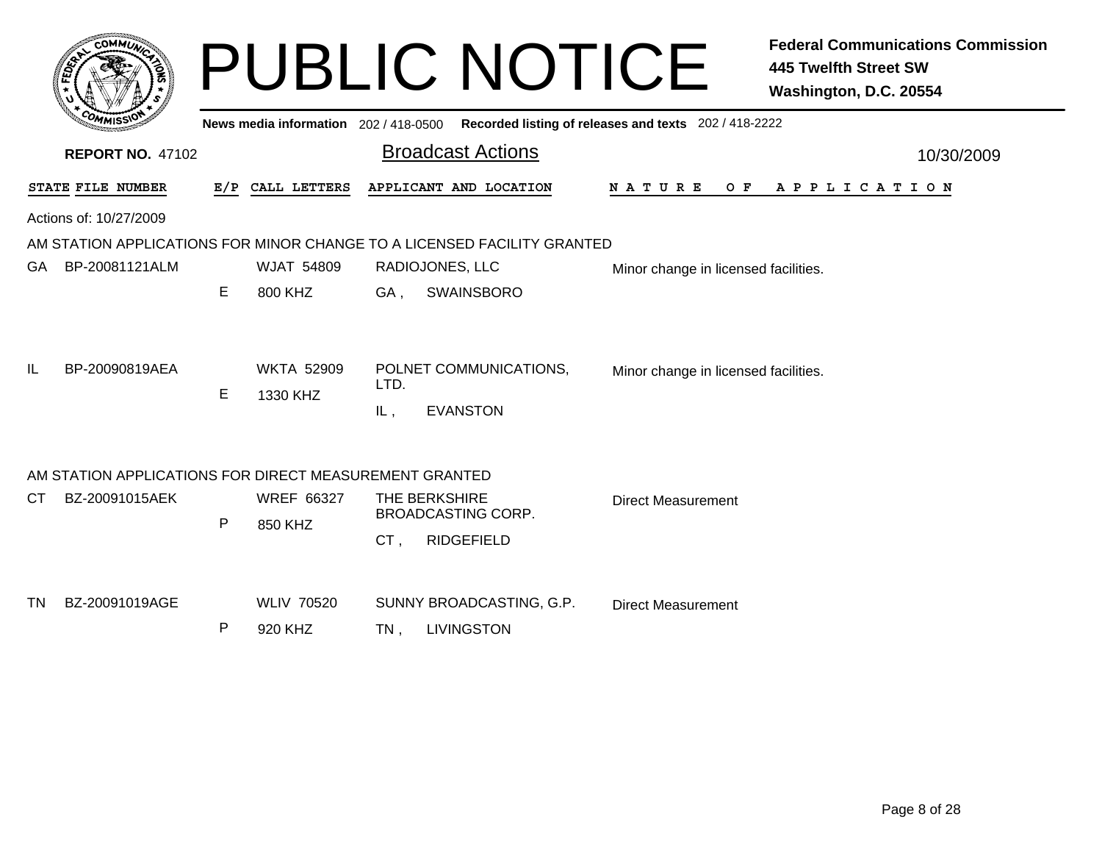| c.OMM17                                                |   |                               | <b>PUBLIC NOTICE</b><br><b>445 Twelfth Street SW</b><br>Washington, D.C. 20554                      | <b>Federal Communications Commission</b> |
|--------------------------------------------------------|---|-------------------------------|-----------------------------------------------------------------------------------------------------|------------------------------------------|
|                                                        |   |                               | News media information 202/418-0500 Recorded listing of releases and texts 202/418-2222             |                                          |
| <b>REPORT NO. 47102</b>                                |   |                               | <b>Broadcast Actions</b>                                                                            | 10/30/2009                               |
| STATE FILE NUMBER                                      |   | E/P CALL LETTERS              | APPLICANT AND LOCATION<br>N A T U R E<br>O F<br>A P P L I C A T I O N                               |                                          |
| Actions of: 10/27/2009                                 |   |                               |                                                                                                     |                                          |
|                                                        |   |                               | AM STATION APPLICATIONS FOR MINOR CHANGE TO A LICENSED FACILITY GRANTED                             |                                          |
| BP-20081121ALM<br>GA.                                  |   | <b>WJAT 54809</b>             | RADIOJONES, LLC<br>Minor change in licensed facilities.                                             |                                          |
|                                                        | E | 800 KHZ                       | <b>SWAINSBORO</b><br>GA,                                                                            |                                          |
| BP-20090819AEA<br>IL                                   | E | <b>WKTA 52909</b><br>1330 KHZ | POLNET COMMUNICATIONS,<br>Minor change in licensed facilities.<br>LTD.<br><b>EVANSTON</b><br>$IL$ , |                                          |
| AM STATION APPLICATIONS FOR DIRECT MEASUREMENT GRANTED |   |                               |                                                                                                     |                                          |
| BZ-20091015AEK<br>CТ                                   |   | <b>WREF 66327</b>             | THE BERKSHIRE<br><b>Direct Measurement</b>                                                          |                                          |
|                                                        | P | 850 KHZ                       | <b>BROADCASTING CORP.</b>                                                                           |                                          |
|                                                        |   |                               | CT,<br><b>RIDGEFIELD</b>                                                                            |                                          |
| BZ-20091019AGE<br>TN.                                  |   | <b>WLIV 70520</b>             | SUNNY BROADCASTING, G.P.                                                                            |                                          |
|                                                        | P | 920 KHZ                       | <b>Direct Measurement</b><br><b>LIVINGSTON</b>                                                      |                                          |
|                                                        |   |                               | TN.                                                                                                 |                                          |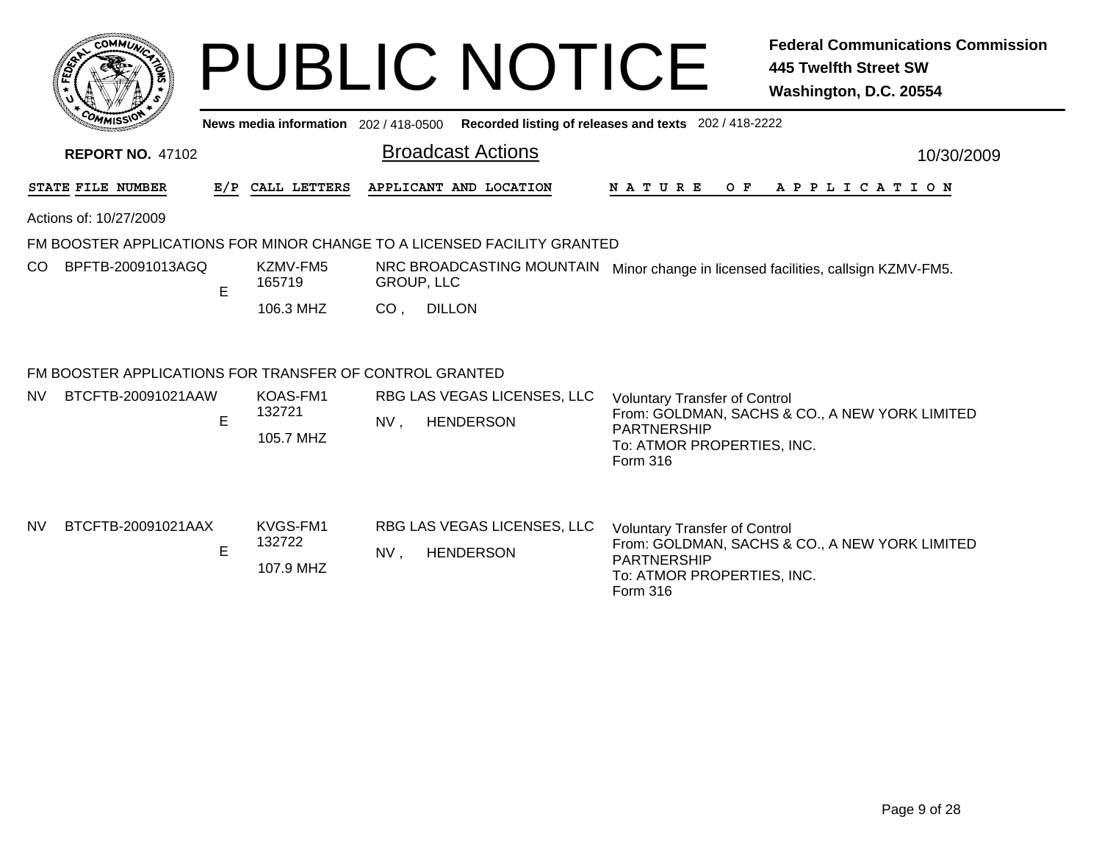|           | <b>COMMUL</b>                                           |   |                                     |                 | <b>PUBLIC NOTICE</b>                                                    |                                                                                                      | <b>Federal Communications Commission</b><br><b>445 Twelfth Street SW</b><br>Washington, D.C. 20554 |
|-----------|---------------------------------------------------------|---|-------------------------------------|-----------------|-------------------------------------------------------------------------|------------------------------------------------------------------------------------------------------|----------------------------------------------------------------------------------------------------|
|           |                                                         |   | News media information 202/418-0500 |                 |                                                                         | Recorded listing of releases and texts 202 / 418-2222                                                |                                                                                                    |
|           | <b>REPORT NO. 47102</b>                                 |   |                                     |                 | <b>Broadcast Actions</b>                                                |                                                                                                      | 10/30/2009                                                                                         |
|           | STATE FILE NUMBER                                       |   | E/P CALL LETTERS                    |                 | APPLICANT AND LOCATION                                                  | N A T U R E                                                                                          | OF APPLICATION                                                                                     |
|           | Actions of: 10/27/2009                                  |   |                                     |                 |                                                                         |                                                                                                      |                                                                                                    |
|           |                                                         |   |                                     |                 | FM BOOSTER APPLICATIONS FOR MINOR CHANGE TO A LICENSED FACILITY GRANTED |                                                                                                      |                                                                                                    |
| CO        | BPFTB-20091013AGQ                                       | E | KZMV-FM5<br>165719                  |                 | NRC BROADCASTING MOUNTAIN<br><b>GROUP, LLC</b>                          |                                                                                                      | Minor change in licensed facilities, callsign KZMV-FM5.                                            |
|           |                                                         |   | 106.3 MHZ                           | CO <sub>1</sub> | <b>DILLON</b>                                                           |                                                                                                      |                                                                                                    |
|           | FM BOOSTER APPLICATIONS FOR TRANSFER OF CONTROL GRANTED |   |                                     |                 |                                                                         |                                                                                                      |                                                                                                    |
| NV        | BTCFTB-20091021AAW                                      |   | KOAS-FM1                            |                 | RBG LAS VEGAS LICENSES, LLC                                             | <b>Voluntary Transfer of Control</b>                                                                 |                                                                                                    |
|           |                                                         | E | 132721<br>105.7 MHZ                 | NV,             | <b>HENDERSON</b>                                                        | <b>PARTNERSHIP</b><br>To: ATMOR PROPERTIES, INC.<br>Form 316                                         | From: GOLDMAN, SACHS & CO., A NEW YORK LIMITED                                                     |
| <b>NV</b> | BTCFTB-20091021AAX                                      | E | KVGS-FM1<br>132722<br>107.9 MHZ     | $NV$ ,          | RBG LAS VEGAS LICENSES, LLC<br><b>HENDERSON</b>                         | <b>Voluntary Transfer of Control</b><br><b>PARTNERSHIP</b><br>To: ATMOR PROPERTIES, INC.<br>Form 316 | From: GOLDMAN, SACHS & CO., A NEW YORK LIMITED                                                     |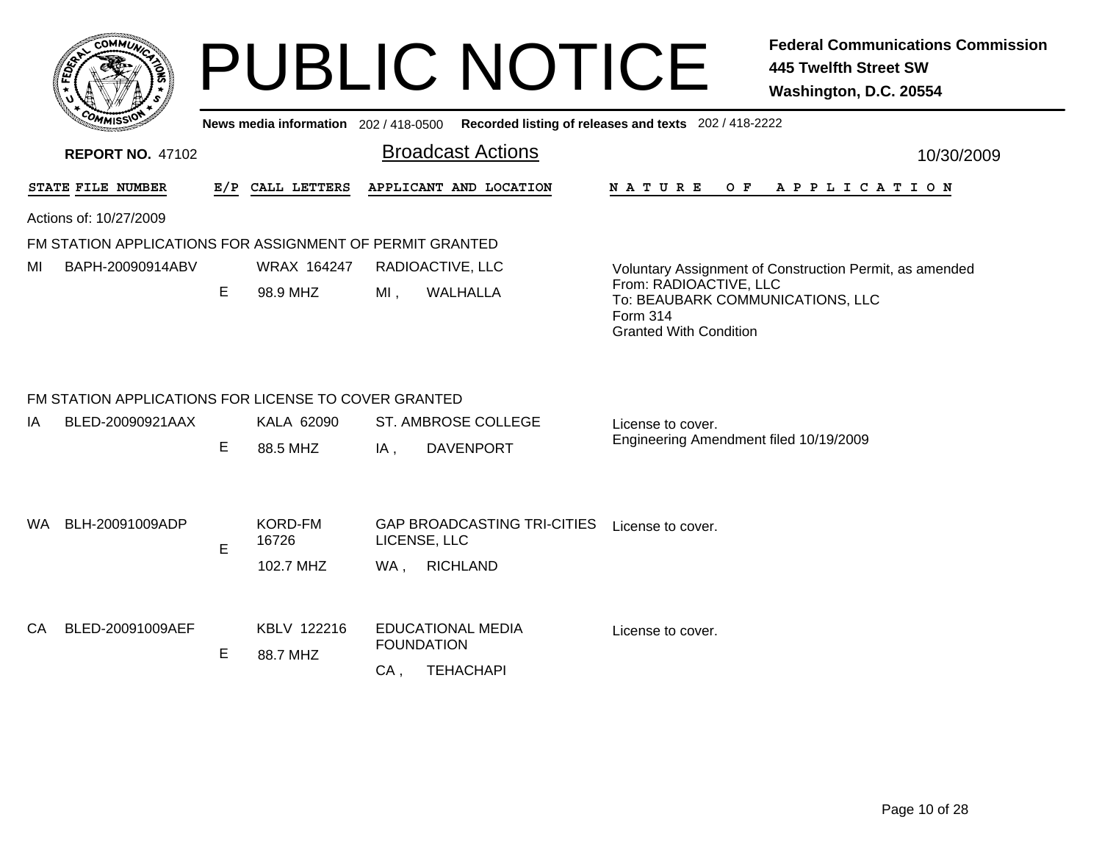|         | <b>MMUNT</b><br>$c_{\mathbf{O}}$ |    |
|---------|----------------------------------|----|
| Êç<br>c |                                  | ্ব |
|         |                                  |    |
|         | COM<br>MISS <sup>.</sup><br>---  |    |

**News media information** 202 / 418-0500**Recorded listing of releases and texts** 202 / 418-2222

| <b>REPORT NO. 47102</b>                                  |     |                                        | <b>Broadcast Actions</b>                                                           | 10/30/2009                                                                                              |  |  |  |
|----------------------------------------------------------|-----|----------------------------------------|------------------------------------------------------------------------------------|---------------------------------------------------------------------------------------------------------|--|--|--|
| STATE FILE NUMBER                                        | E/P | CALL LETTERS<br>APPLICANT AND LOCATION |                                                                                    | <b>NATURE</b><br>O F<br>A P P L I C A T I O N                                                           |  |  |  |
| Actions of: 10/27/2009                                   |     |                                        |                                                                                    |                                                                                                         |  |  |  |
| FM STATION APPLICATIONS FOR ASSIGNMENT OF PERMIT GRANTED |     |                                        |                                                                                    |                                                                                                         |  |  |  |
| BAPH-20090914ABV<br>MI                                   |     | WRAX 164247                            | RADIOACTIVE, LLC                                                                   | Voluntary Assignment of Construction Permit, as amended                                                 |  |  |  |
|                                                          | E   | 98.9 MHZ                               | WALHALLA<br>MI,                                                                    | From: RADIOACTIVE, LLC<br>To: BEAUBARK COMMUNICATIONS, LLC<br>Form 314<br><b>Granted With Condition</b> |  |  |  |
| FM STATION APPLICATIONS FOR LICENSE TO COVER GRANTED     |     |                                        |                                                                                    |                                                                                                         |  |  |  |
|                                                          | Е   | 88.5 MHZ                               | <b>DAVENPORT</b><br>IA,                                                            | Engineering Amendment filed 10/19/2009                                                                  |  |  |  |
| BLH-20091009ADP<br>WA.                                   | E   | <b>KORD-FM</b><br>16726                | <b>GAP BROADCASTING TRI-CITIES</b><br>LICENSE, LLC                                 | License to cover.                                                                                       |  |  |  |
| BLED-20091009AEF<br>CA                                   | Е   | KBLV 122216<br>88.7 MHZ                | <b>EDUCATIONAL MEDIA</b><br><b>FOUNDATION</b>                                      | License to cover.                                                                                       |  |  |  |
| BLED-20090921AAX<br>IA                                   |     | KALA 62090<br>102.7 MHZ                | <b>ST. AMBROSE COLLEGE</b><br><b>RICHLAND</b><br>WA,<br><b>TEHACHAPI</b><br>$CA$ , | License to cover.                                                                                       |  |  |  |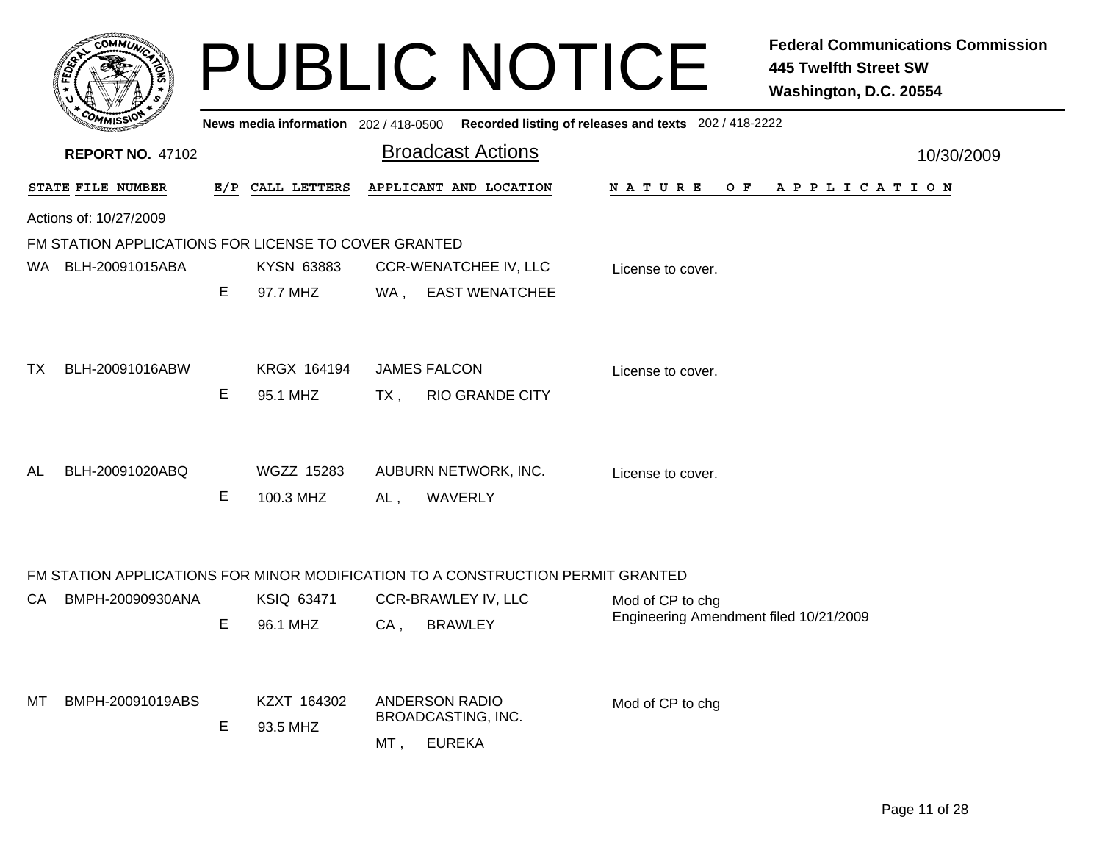|    | <b>COMMUT</b>                                        |   |                                     |                     | <b>PUBLIC NOTICE</b>                                                            |                                                            | <b>Federal Communications Commission</b><br><b>445 Twelfth Street SW</b><br>Washington, D.C. 20554 |
|----|------------------------------------------------------|---|-------------------------------------|---------------------|---------------------------------------------------------------------------------|------------------------------------------------------------|----------------------------------------------------------------------------------------------------|
|    |                                                      |   | News media information 202/418-0500 |                     |                                                                                 | Recorded listing of releases and texts 202 / 418-2222      |                                                                                                    |
|    | <b>REPORT NO. 47102</b>                              |   |                                     |                     | <b>Broadcast Actions</b>                                                        |                                                            | 10/30/2009                                                                                         |
|    | STATE FILE NUMBER                                    |   | E/P CALL LETTERS                    |                     | APPLICANT AND LOCATION                                                          | N A T U R E                                                | OF APPLICATION                                                                                     |
|    | Actions of: 10/27/2009                               |   |                                     |                     |                                                                                 |                                                            |                                                                                                    |
|    | FM STATION APPLICATIONS FOR LICENSE TO COVER GRANTED |   |                                     |                     |                                                                                 |                                                            |                                                                                                    |
|    | WA BLH-20091015ABA                                   |   | KYSN 63883                          |                     | <b>CCR-WENATCHEE IV, LLC</b>                                                    | License to cover.                                          |                                                                                                    |
|    |                                                      | E | 97.7 MHZ                            |                     | WA, EAST WENATCHEE                                                              |                                                            |                                                                                                    |
|    |                                                      |   |                                     |                     |                                                                                 |                                                            |                                                                                                    |
| ТX | BLH-20091016ABW                                      |   | KRGX 164194                         | <b>JAMES FALCON</b> |                                                                                 |                                                            |                                                                                                    |
|    |                                                      | Е | 95.1 MHZ                            |                     |                                                                                 | License to cover.                                          |                                                                                                    |
|    |                                                      |   |                                     | TX ,                | <b>RIO GRANDE CITY</b>                                                          |                                                            |                                                                                                    |
|    |                                                      |   |                                     |                     |                                                                                 |                                                            |                                                                                                    |
| AL | BLH-20091020ABQ                                      |   | <b>WGZZ 15283</b>                   |                     | AUBURN NETWORK, INC.                                                            | License to cover.                                          |                                                                                                    |
|    |                                                      | Е | 100.3 MHZ                           | AL,                 | WAVERLY                                                                         |                                                            |                                                                                                    |
|    |                                                      |   |                                     |                     |                                                                                 |                                                            |                                                                                                    |
|    |                                                      |   |                                     |                     |                                                                                 |                                                            |                                                                                                    |
|    |                                                      |   |                                     |                     | FM STATION APPLICATIONS FOR MINOR MODIFICATION TO A CONSTRUCTION PERMIT GRANTED |                                                            |                                                                                                    |
| СA | BMPH-20090930ANA                                     |   | KSIQ 63471                          |                     | CCR-BRAWLEY IV, LLC                                                             | Mod of CP to chg<br>Engineering Amendment filed 10/21/2009 |                                                                                                    |
|    |                                                      | Е | 96.1 MHZ                            | CA,                 | <b>BRAWLEY</b>                                                                  |                                                            |                                                                                                    |
|    |                                                      |   |                                     |                     |                                                                                 |                                                            |                                                                                                    |
| мт | BMPH-20091019ABS                                     |   | KZXT 164302                         |                     | <b>ANDERSON RADIO</b>                                                           | Mod of CP to chg                                           |                                                                                                    |
|    |                                                      | E | 93.5 MHZ                            |                     | BROADCASTING, INC.                                                              |                                                            |                                                                                                    |
|    |                                                      |   |                                     | MT,                 | <b>EUREKA</b>                                                                   |                                                            |                                                                                                    |
|    |                                                      |   |                                     |                     |                                                                                 |                                                            |                                                                                                    |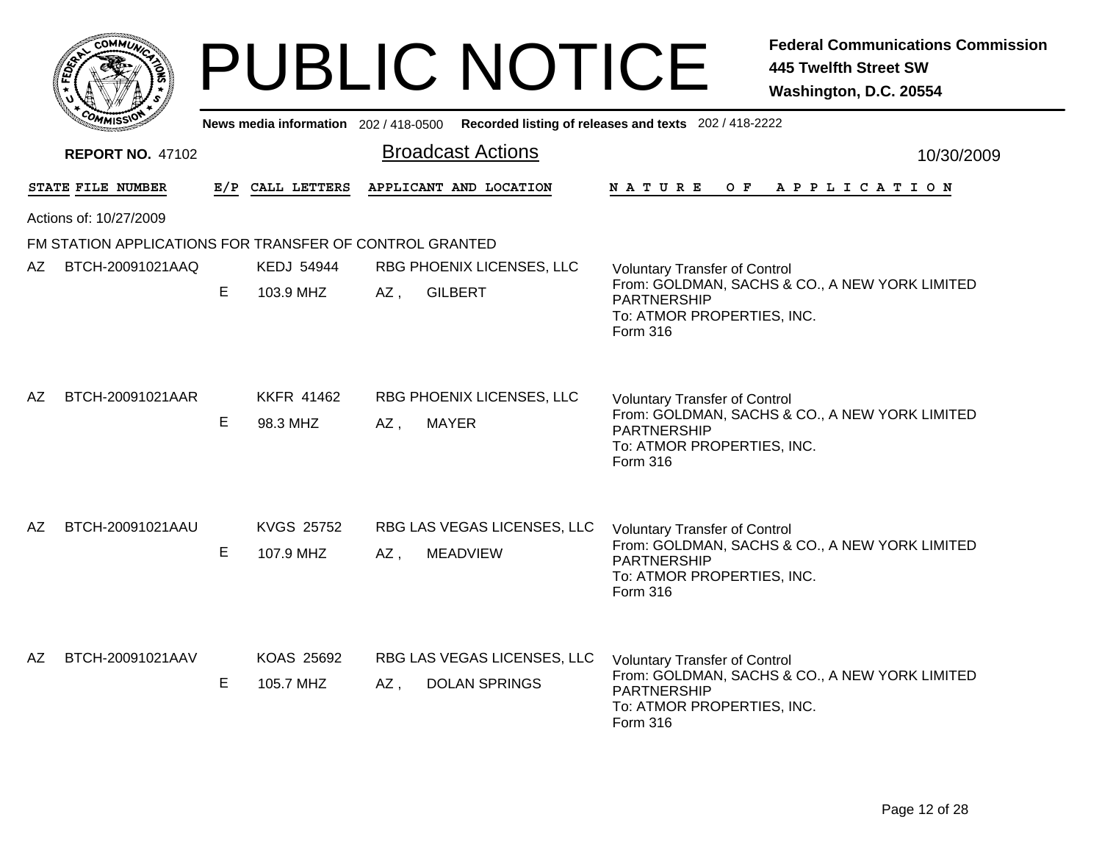|      |                                                         |    |                                | <b>PUBLIC NOTICE</b>                                                                        | <b>Federal Communications Commission</b><br><b>445 Twelfth Street SW</b><br>Washington, D.C. 20554                                                     |
|------|---------------------------------------------------------|----|--------------------------------|---------------------------------------------------------------------------------------------|--------------------------------------------------------------------------------------------------------------------------------------------------------|
|      |                                                         |    |                                | News media information 202 / 418-0500 Recorded listing of releases and texts 202 / 418-2222 |                                                                                                                                                        |
|      | <b>REPORT NO. 47102</b>                                 |    |                                | <b>Broadcast Actions</b>                                                                    | 10/30/2009                                                                                                                                             |
|      | STATE FILE NUMBER                                       |    | E/P CALL LETTERS               | APPLICANT AND LOCATION                                                                      | NATURE OF APPLICATION                                                                                                                                  |
|      | Actions of: 10/27/2009                                  |    |                                |                                                                                             |                                                                                                                                                        |
|      | FM STATION APPLICATIONS FOR TRANSFER OF CONTROL GRANTED |    |                                |                                                                                             |                                                                                                                                                        |
| AZ I | BTCH-20091021AAQ                                        | E  | <b>KEDJ 54944</b><br>103.9 MHZ | RBG PHOENIX LICENSES, LLC<br><b>GILBERT</b><br>AZ,                                          | <b>Voluntary Transfer of Control</b><br>From: GOLDMAN, SACHS & CO., A NEW YORK LIMITED<br>PARTNERSHIP<br>To: ATMOR PROPERTIES, INC.<br>Form 316        |
| AZ   | BTCH-20091021AAR                                        | E  | <b>KKFR 41462</b><br>98.3 MHZ  | RBG PHOENIX LICENSES, LLC<br><b>MAYER</b><br>AZ.                                            | <b>Voluntary Transfer of Control</b><br>From: GOLDMAN, SACHS & CO., A NEW YORK LIMITED<br>PARTNERSHIP<br>To: ATMOR PROPERTIES, INC.<br>Form 316        |
| AZ   | BTCH-20091021AAU                                        | Е  | <b>KVGS 25752</b><br>107.9 MHZ | RBG LAS VEGAS LICENSES, LLC<br>AZ,<br><b>MEADVIEW</b>                                       | <b>Voluntary Transfer of Control</b><br>From: GOLDMAN, SACHS & CO., A NEW YORK LIMITED<br>PARTNERSHIP<br>To: ATMOR PROPERTIES, INC.<br>Form 316        |
| AZ   | BTCH-20091021AAV                                        | E. | KOAS 25692<br>105.7 MHZ        | RBG LAS VEGAS LICENSES, LLC<br><b>DOLAN SPRINGS</b><br>AZ,                                  | <b>Voluntary Transfer of Control</b><br>From: GOLDMAN, SACHS & CO., A NEW YORK LIMITED<br>PARTNERSHIP<br>To: ATMOR PROPERTIES, INC.<br><b>Form 316</b> |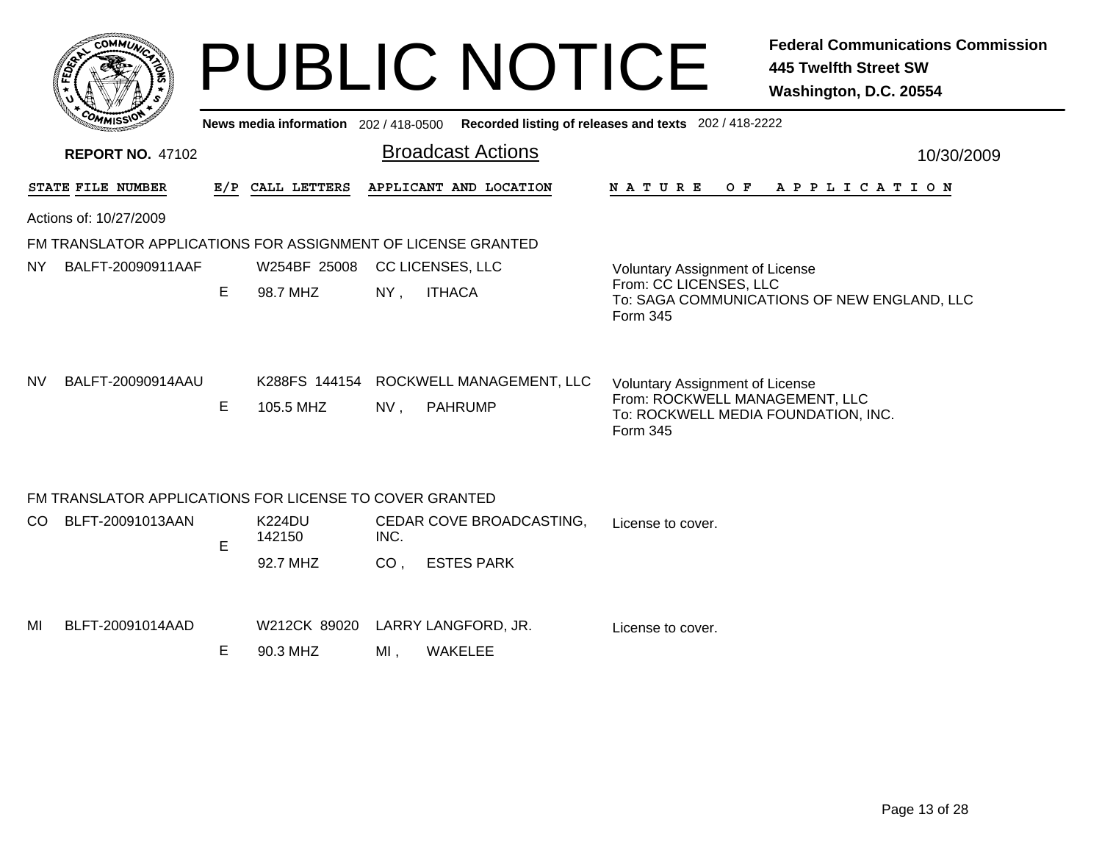|                                                              |                                                                                                                                        |                            | <b>PUBLIC NOTICE</b>                              | <b>Federal Communications Commission</b><br><b>445 Twelfth Street SW</b><br>Washington, D.C. 20554                          |  |  |  |  |  |  |
|--------------------------------------------------------------|----------------------------------------------------------------------------------------------------------------------------------------|----------------------------|---------------------------------------------------|-----------------------------------------------------------------------------------------------------------------------------|--|--|--|--|--|--|
| <b>REPORT NO. 47102</b>                                      | Recorded listing of releases and texts 202 / 418-2222<br>News media information 202/418-0500<br><b>Broadcast Actions</b><br>10/30/2009 |                            |                                                   |                                                                                                                             |  |  |  |  |  |  |
| STATE FILE NUMBER                                            |                                                                                                                                        | E/P CALL LETTERS           | APPLICANT AND LOCATION                            | A P P L I C A T I O N<br>N A T U R E<br>O F                                                                                 |  |  |  |  |  |  |
| Actions of: 10/27/2009                                       |                                                                                                                                        |                            |                                                   |                                                                                                                             |  |  |  |  |  |  |
| FM TRANSLATOR APPLICATIONS FOR ASSIGNMENT OF LICENSE GRANTED |                                                                                                                                        |                            |                                                   |                                                                                                                             |  |  |  |  |  |  |
| BALFT-20090911AAF<br>NY.                                     |                                                                                                                                        | W254BF 25008               | <b>CC LICENSES, LLC</b>                           | <b>Voluntary Assignment of License</b>                                                                                      |  |  |  |  |  |  |
|                                                              | E                                                                                                                                      | 98.7 MHZ                   | <b>ITHACA</b><br>$NY$ ,                           | From: CC LICENSES, LLC<br>To: SAGA COMMUNICATIONS OF NEW ENGLAND, LLC<br>Form 345                                           |  |  |  |  |  |  |
| BALFT-20090914AAU<br>NV.                                     | E.                                                                                                                                     | K288FS 144154<br>105.5 MHZ | ROCKWELL MANAGEMENT, LLC<br>NV,<br><b>PAHRUMP</b> | <b>Voluntary Assignment of License</b><br>From: ROCKWELL MANAGEMENT, LLC<br>To: ROCKWELL MEDIA FOUNDATION, INC.<br>Form 345 |  |  |  |  |  |  |
| FM TRANSLATOR APPLICATIONS FOR LICENSE TO COVER GRANTED      |                                                                                                                                        |                            |                                                   |                                                                                                                             |  |  |  |  |  |  |
| BLFT-20091013AAN<br>CO.                                      | E                                                                                                                                      | <b>K224DU</b><br>142150    | CEDAR COVE BROADCASTING,<br>INC.                  | License to cover.                                                                                                           |  |  |  |  |  |  |
|                                                              |                                                                                                                                        | 92.7 MHZ                   | <b>ESTES PARK</b><br>CO <sub>1</sub>              |                                                                                                                             |  |  |  |  |  |  |
| BLFT-20091014AAD<br>MI                                       |                                                                                                                                        | W212CK 89020               | LARRY LANGFORD, JR.                               |                                                                                                                             |  |  |  |  |  |  |
|                                                              | E.                                                                                                                                     | 90.3 MHZ                   | $MI$ ,<br><b>WAKELEE</b>                          | License to cover.                                                                                                           |  |  |  |  |  |  |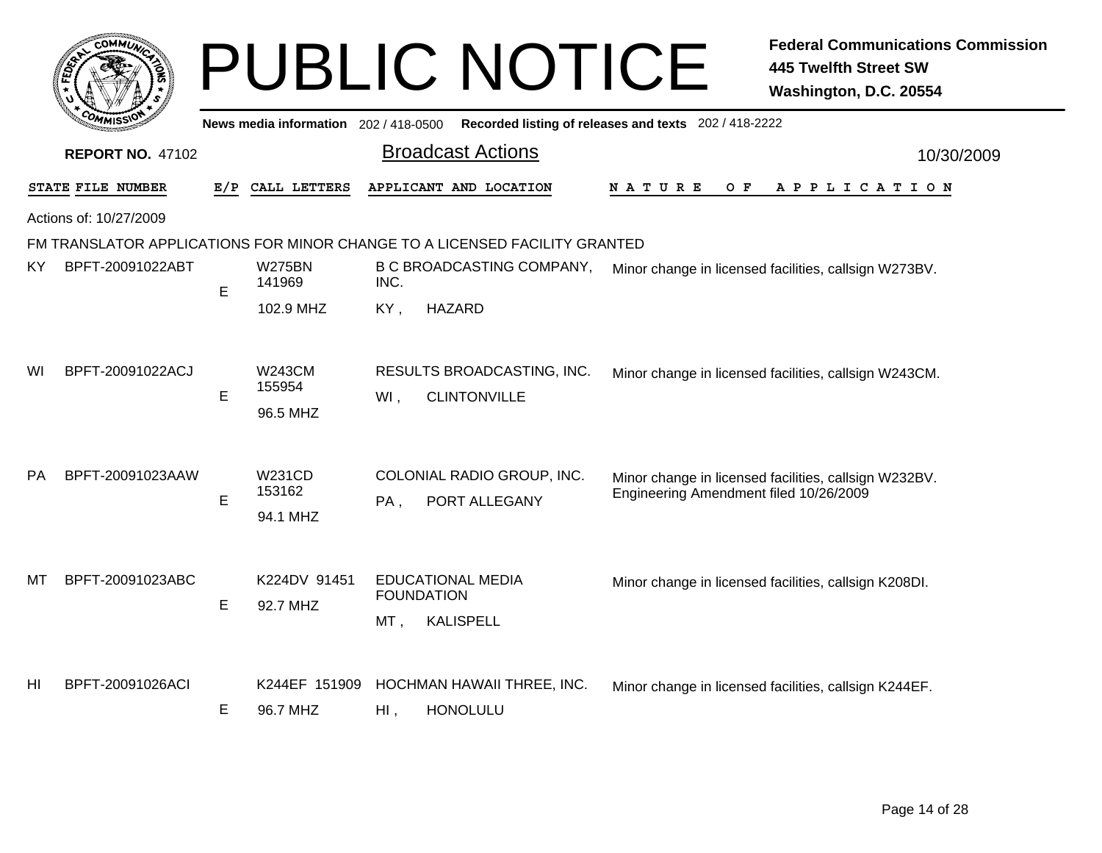|     |                         |     |                                       | <b>PUBLIC NOTICE</b>                                                       | <b>Federal Communications Commission</b><br><b>445 Twelfth Street SW</b><br>Washington, D.C. 20554 |
|-----|-------------------------|-----|---------------------------------------|----------------------------------------------------------------------------|----------------------------------------------------------------------------------------------------|
|     |                         |     | News media information $202/418-0500$ |                                                                            | Recorded listing of releases and texts 202 / 418-2222                                              |
|     | <b>REPORT NO. 47102</b> |     |                                       | <b>Broadcast Actions</b>                                                   | 10/30/2009                                                                                         |
|     | STATE FILE NUMBER       | E/P | CALL LETTERS                          | APPLICANT AND LOCATION                                                     | N A T U R E<br>O F<br>APPLICATION                                                                  |
|     | Actions of: 10/27/2009  |     |                                       |                                                                            |                                                                                                    |
|     |                         |     |                                       | FM TRANSLATOR APPLICATIONS FOR MINOR CHANGE TO A LICENSED FACILITY GRANTED |                                                                                                    |
| KY. | BPFT-20091022ABT        | E   | <b>W275BN</b><br>141969               | <b>B C BROADCASTING COMPANY,</b><br>INC.                                   | Minor change in licensed facilities, callsign W273BV.                                              |
|     |                         |     | 102.9 MHZ                             | <b>HAZARD</b><br>KY,                                                       |                                                                                                    |
| WI  | BPFT-20091022ACJ        | E   | <b>W243CM</b><br>155954<br>96.5 MHZ   | RESULTS BROADCASTING, INC.<br><b>CLINTONVILLE</b><br>WI,                   | Minor change in licensed facilities, callsign W243CM.                                              |
| PA  | BPFT-20091023AAW        | E   | <b>W231CD</b><br>153162<br>94.1 MHZ   | COLONIAL RADIO GROUP, INC.<br>PA,<br>PORT ALLEGANY                         | Minor change in licensed facilities, callsign W232BV.<br>Engineering Amendment filed 10/26/2009    |
| MТ  | BPFT-20091023ABC        | E   | K224DV 91451<br>92.7 MHZ              | <b>EDUCATIONAL MEDIA</b><br><b>FOUNDATION</b><br><b>KALISPELL</b><br>MT,   | Minor change in licensed facilities, callsign K208DI.                                              |
| HI  | BPFT-20091026ACI        | Е   | K244EF 151909<br>96.7 MHZ             | HOCHMAN HAWAII THREE, INC.<br><b>HONOLULU</b><br>$Hl$ ,                    | Minor change in licensed facilities, callsign K244EF.                                              |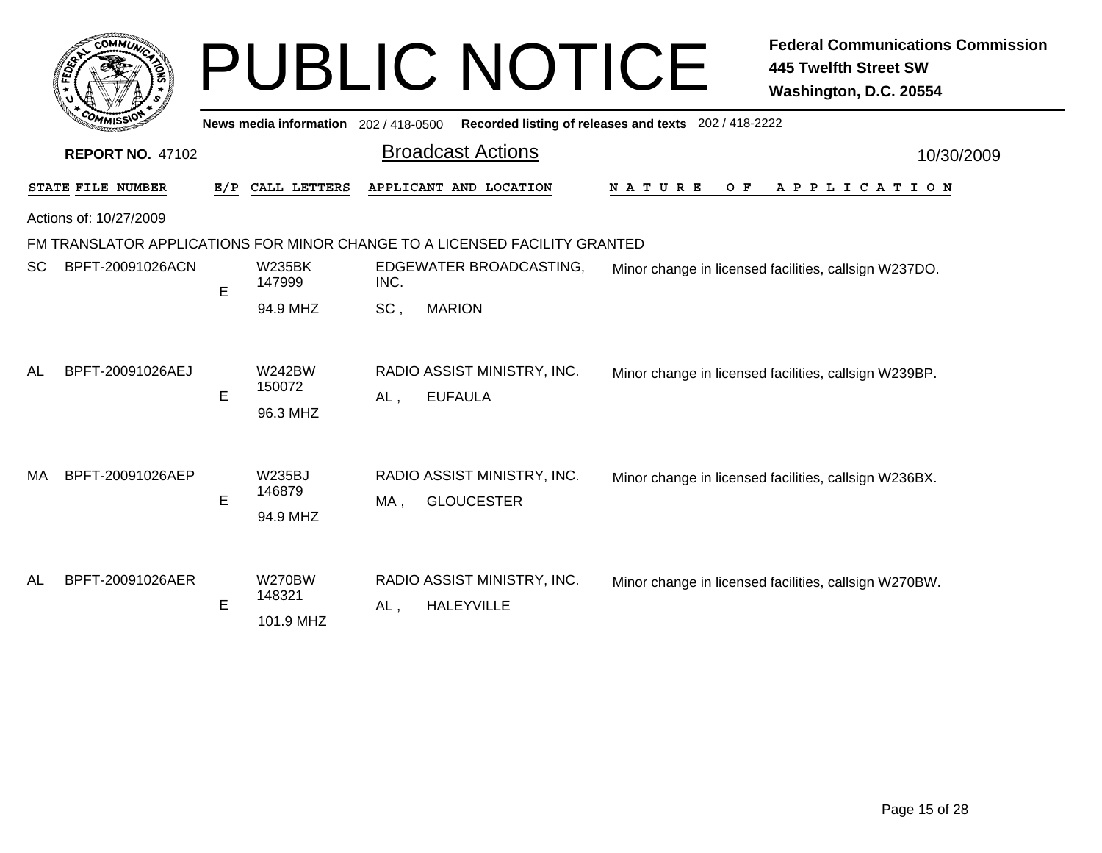|     | <b>COMMUT</b>           |     |                                      |        | <b>PUBLIC NOTICE</b>                                                       |                                                       | <b>Federal Communications Commission</b><br><b>445 Twelfth Street SW</b><br>Washington, D.C. 20554 |
|-----|-------------------------|-----|--------------------------------------|--------|----------------------------------------------------------------------------|-------------------------------------------------------|----------------------------------------------------------------------------------------------------|
|     |                         |     | News media information 202/418-0500  |        |                                                                            | Recorded listing of releases and texts 202 / 418-2222 |                                                                                                    |
|     | <b>REPORT NO. 47102</b> |     |                                      |        | <b>Broadcast Actions</b>                                                   |                                                       | 10/30/2009                                                                                         |
|     | STATE FILE NUMBER       | E/P | CALL LETTERS                         |        | APPLICANT AND LOCATION                                                     | N A T U R E<br>O F                                    | A P P L I C A T I O N                                                                              |
|     | Actions of: 10/27/2009  |     |                                      |        |                                                                            |                                                       |                                                                                                    |
|     |                         |     |                                      |        | FM TRANSLATOR APPLICATIONS FOR MINOR CHANGE TO A LICENSED FACILITY GRANTED |                                                       |                                                                                                    |
| SC. | BPFT-20091026ACN        | E   | <b>W235BK</b><br>147999              | INC.   | EDGEWATER BROADCASTING,                                                    |                                                       | Minor change in licensed facilities, callsign W237DO.                                              |
|     |                         |     | 94.9 MHZ                             | SC,    | <b>MARION</b>                                                              |                                                       |                                                                                                    |
| AL  | BPFT-20091026AEJ        | E   | <b>W242BW</b><br>150072<br>96.3 MHZ  | $AL$ , | RADIO ASSIST MINISTRY, INC.<br><b>EUFAULA</b>                              |                                                       | Minor change in licensed facilities, callsign W239BP.                                              |
| МA  | BPFT-20091026AEP        | E   | <b>W235BJ</b><br>146879<br>94.9 MHZ  | MA,    | RADIO ASSIST MINISTRY, INC.<br><b>GLOUCESTER</b>                           |                                                       | Minor change in licensed facilities, callsign W236BX.                                              |
| AL  | BPFT-20091026AER        | E   | <b>W270BW</b><br>148321<br>101.9 MHZ | AL,    | RADIO ASSIST MINISTRY, INC.<br><b>HALEYVILLE</b>                           |                                                       | Minor change in licensed facilities, callsign W270BW.                                              |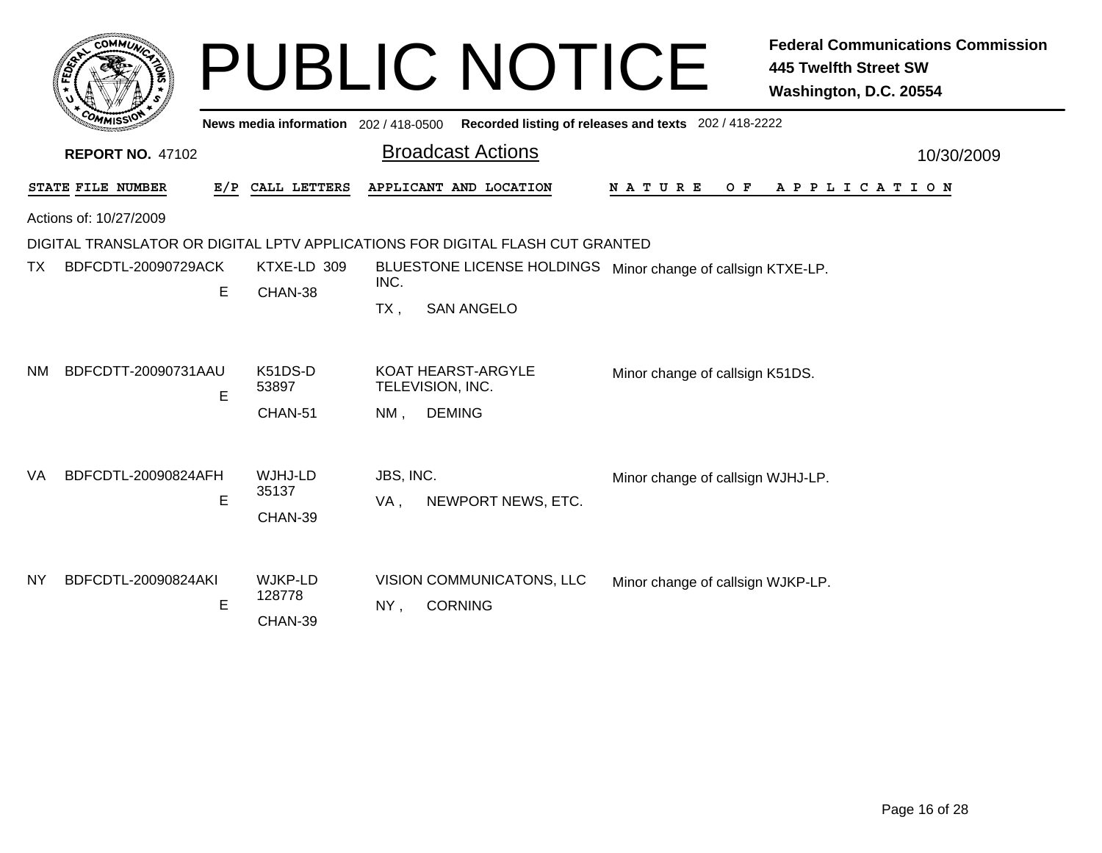|           | <b>COMMUT</b>           |     |                                     |                  | <b>PUBLIC NOTICE</b>                                                              |                                   |     | <b>Federal Communications Commission</b><br><b>445 Twelfth Street SW</b><br>Washington, D.C. 20554 |
|-----------|-------------------------|-----|-------------------------------------|------------------|-----------------------------------------------------------------------------------|-----------------------------------|-----|----------------------------------------------------------------------------------------------------|
|           |                         |     | News media information 202/418-0500 |                  | Recorded listing of releases and texts 202 / 418-2222                             |                                   |     |                                                                                                    |
|           | <b>REPORT NO. 47102</b> |     |                                     |                  | <b>Broadcast Actions</b>                                                          |                                   |     | 10/30/2009                                                                                         |
|           | STATE FILE NUMBER       | E/P | CALL LETTERS                        |                  | APPLICANT AND LOCATION                                                            | N A T U R E                       | O F | A P P L I C A T I O N                                                                              |
|           | Actions of: 10/27/2009  |     |                                     |                  | DIGITAL TRANSLATOR OR DIGITAL LPTV APPLICATIONS FOR DIGITAL FLASH CUT GRANTED     |                                   |     |                                                                                                    |
| TX.       | BDFCDTL-20090729ACK     | Е   | KTXE-LD 309<br>CHAN-38              | INC.<br>$TX$ ,   | BLUESTONE LICENSE HOLDINGS Minor change of callsign KTXE-LP.<br><b>SAN ANGELO</b> |                                   |     |                                                                                                    |
| <b>NM</b> | BDFCDTT-20090731AAU     | E   | K51DS-D<br>53897<br>CHAN-51         | NM.              | <b>KOAT HEARST-ARGYLE</b><br>TELEVISION, INC.<br><b>DEMING</b>                    | Minor change of callsign K51DS.   |     |                                                                                                    |
| VA.       | BDFCDTL-20090824AFH     | E   | WJHJ-LD<br>35137<br>CHAN-39         | JBS, INC.<br>VA, | NEWPORT NEWS, ETC.                                                                | Minor change of callsign WJHJ-LP. |     |                                                                                                    |
| <b>NY</b> | BDFCDTL-20090824AKI     | E   | WJKP-LD<br>128778<br>CHAN-39        | NY,              | VISION COMMUNICATONS, LLC<br><b>CORNING</b>                                       | Minor change of callsign WJKP-LP. |     |                                                                                                    |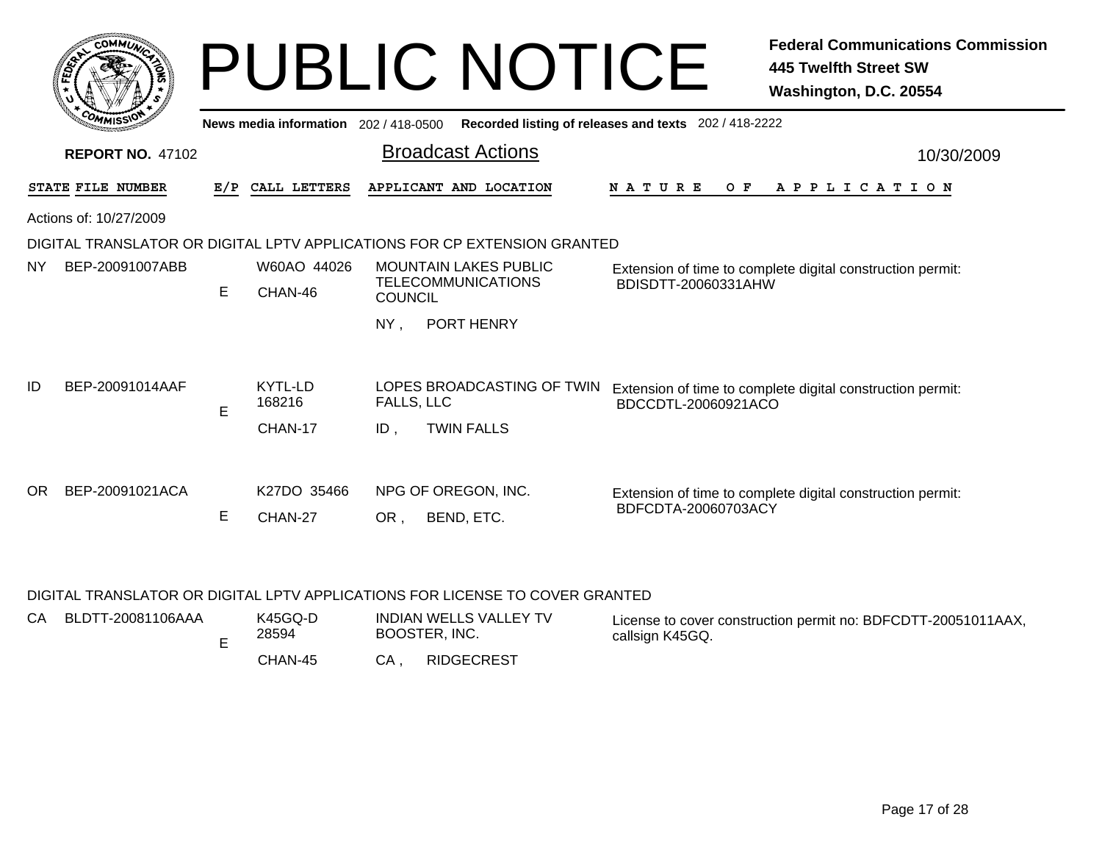|           | COMMUT                  |     |                                       |                | <b>PUBLIC NOTICE</b>                                                     |                                                       | <b>Federal Communications Commission</b><br>445 Twelfth Street SW<br>Washington, D.C. 20554 |
|-----------|-------------------------|-----|---------------------------------------|----------------|--------------------------------------------------------------------------|-------------------------------------------------------|---------------------------------------------------------------------------------------------|
|           |                         |     | News media information 202 / 418-0500 |                |                                                                          | Recorded listing of releases and texts 202 / 418-2222 |                                                                                             |
|           | <b>REPORT NO. 47102</b> |     |                                       |                | <b>Broadcast Actions</b>                                                 |                                                       | 10/30/2009                                                                                  |
|           | STATE FILE NUMBER       | E/P | CALL LETTERS                          |                | APPLICANT AND LOCATION                                                   | <b>NATURE</b><br>O F                                  | A P P L I C A T I O N                                                                       |
|           | Actions of: 10/27/2009  |     |                                       |                |                                                                          |                                                       |                                                                                             |
|           |                         |     |                                       |                | DIGITAL TRANSLATOR OR DIGITAL LPTV APPLICATIONS FOR CP EXTENSION GRANTED |                                                       |                                                                                             |
| <b>NY</b> | BEP-20091007ABB         |     | W60AO 44026                           |                | <b>MOUNTAIN LAKES PUBLIC</b>                                             |                                                       | Extension of time to complete digital construction permit:                                  |
|           |                         | E   | CHAN-46                               | <b>COUNCIL</b> | <b>TELECOMMUNICATIONS</b>                                                | BDISDTT-20060331AHW                                   |                                                                                             |
|           |                         |     |                                       | NY.            | PORT HENRY                                                               |                                                       |                                                                                             |
|           |                         |     |                                       |                |                                                                          |                                                       |                                                                                             |
| ID        | BEP-20091014AAF         |     | KYTL-LD                               |                | LOPES BROADCASTING OF TWIN                                               |                                                       | Extension of time to complete digital construction permit:                                  |
|           |                         | E   | 168216                                | FALLS, LLC     |                                                                          | BDCCDTL-20060921ACO                                   |                                                                                             |
|           |                         |     | CHAN-17                               | $ID$ .         | <b>TWIN FALLS</b>                                                        |                                                       |                                                                                             |
| OR.       | BEP-20091021ACA         |     | K <sub>27</sub> DO 35466              |                | NPG OF OREGON, INC.                                                      |                                                       | Extension of time to complete digital construction permit:                                  |
|           |                         | E   | CHAN-27                               | OR,            | BEND, ETC.                                                               | BDFCDTA-20060703ACY                                   |                                                                                             |
|           |                         |     |                                       |                |                                                                          |                                                       |                                                                                             |

### DIGITAL TRANSLATOR OR DIGITAL LPTV APPLICATIONS FOR LICENSE TO COVER GRANTED

| CA – | BLDTT-20081106AAA | K45GQ-D<br>28594 | INDIAN WELLS VALLEY TV<br>BOOSTER, INC. | License to cover construction permit no: BDFCDTT-20051011AAX,<br>callsign K45GQ. |
|------|-------------------|------------------|-----------------------------------------|----------------------------------------------------------------------------------|
|      |                   | CHAN-45          | <b>RIDGECREST</b><br>CA                 |                                                                                  |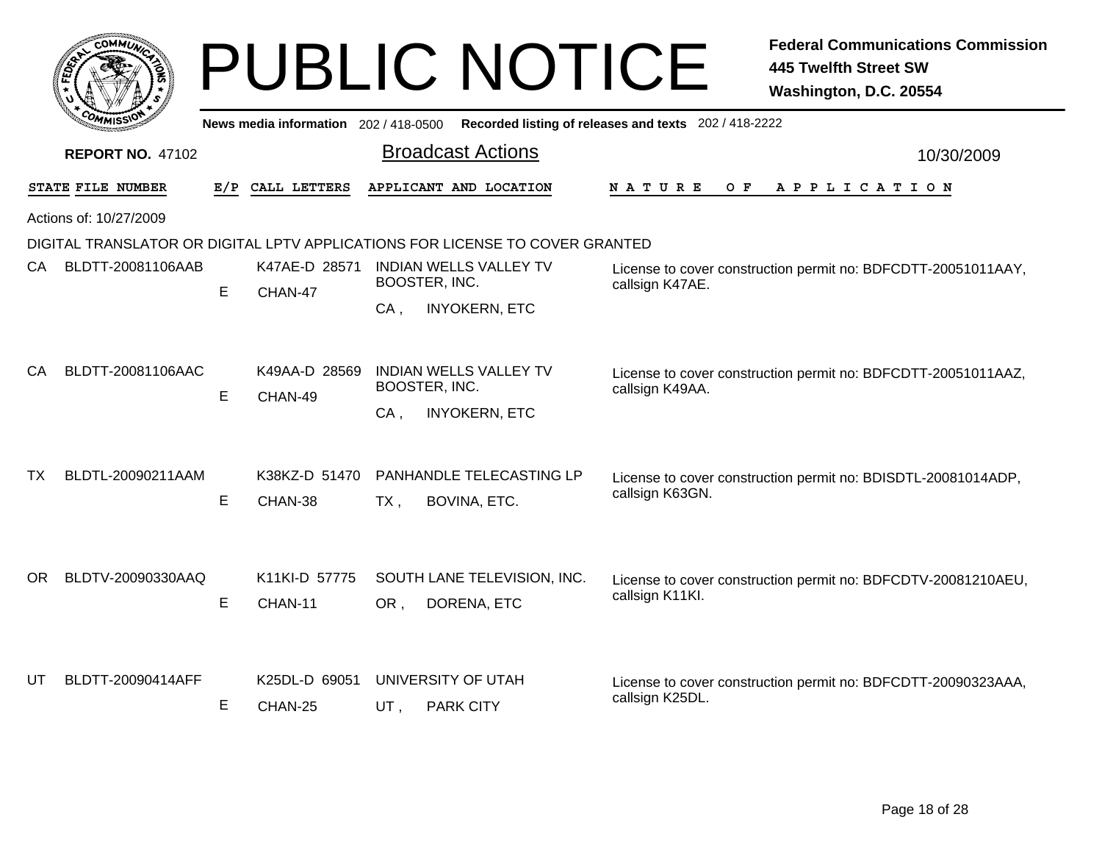|      | сомміл                  |     |                                     | <b>PUBLIC NOTICE</b>                                                          |                                                                                  | <b>Federal Communications Commission</b><br><b>445 Twelfth Street SW</b><br>Washington, D.C. 20554 |
|------|-------------------------|-----|-------------------------------------|-------------------------------------------------------------------------------|----------------------------------------------------------------------------------|----------------------------------------------------------------------------------------------------|
|      |                         |     | News media information 202/418-0500 |                                                                               | Recorded listing of releases and texts 202 / 418-2222                            |                                                                                                    |
|      | <b>REPORT NO. 47102</b> |     |                                     | <b>Broadcast Actions</b>                                                      |                                                                                  | 10/30/2009                                                                                         |
|      | STATE FILE NUMBER       | E/P | CALL LETTERS                        | APPLICANT AND LOCATION                                                        | <b>NATURE</b><br>O F                                                             | APPLICATION                                                                                        |
|      | Actions of: 10/27/2009  |     |                                     |                                                                               |                                                                                  |                                                                                                    |
|      |                         |     |                                     | DIGITAL TRANSLATOR OR DIGITAL LPTV APPLICATIONS FOR LICENSE TO COVER GRANTED  |                                                                                  |                                                                                                    |
| CA - | BLDTT-20081106AAB       | E   | K47AE-D 28571<br>CHAN-47            | <b>INDIAN WELLS VALLEY TV</b><br>BOOSTER, INC.                                | License to cover construction permit no: BDFCDTT-20051011AAY,<br>callsign K47AE. |                                                                                                    |
|      |                         |     |                                     | <b>INYOKERN, ETC</b><br>$CA$ ,                                                |                                                                                  |                                                                                                    |
| CA   | BLDTT-20081106AAC       | E   | K49AA-D 28569<br>CHAN-49            | <b>INDIAN WELLS VALLEY TV</b><br>BOOSTER, INC.<br><b>INYOKERN, ETC</b><br>CA. | callsign K49AA.                                                                  | License to cover construction permit no: BDFCDTT-20051011AAZ,                                      |
| ТX   | BLDTL-20090211AAM       | E   | K38KZ-D 51470<br>CHAN-38            | PANHANDLE TELECASTING LP<br>$TX$ ,<br>BOVINA, ETC.                            | callsign K63GN.                                                                  | License to cover construction permit no: BDISDTL-20081014ADP,                                      |
| OR.  | BLDTV-20090330AAQ       | E   | K11KI-D 57775<br>CHAN-11            | SOUTH LANE TELEVISION, INC.<br>OR.<br>DORENA, ETC                             | callsign K11Kl.                                                                  | License to cover construction permit no: BDFCDTV-20081210AEU,                                      |
| UT   | BLDTT-20090414AFF       | Е   | K25DL-D 69051<br>CHAN-25            | UNIVERSITY OF UTAH<br>UT.<br><b>PARK CITY</b>                                 | callsign K25DL.                                                                  | License to cover construction permit no: BDFCDTT-20090323AAA,                                      |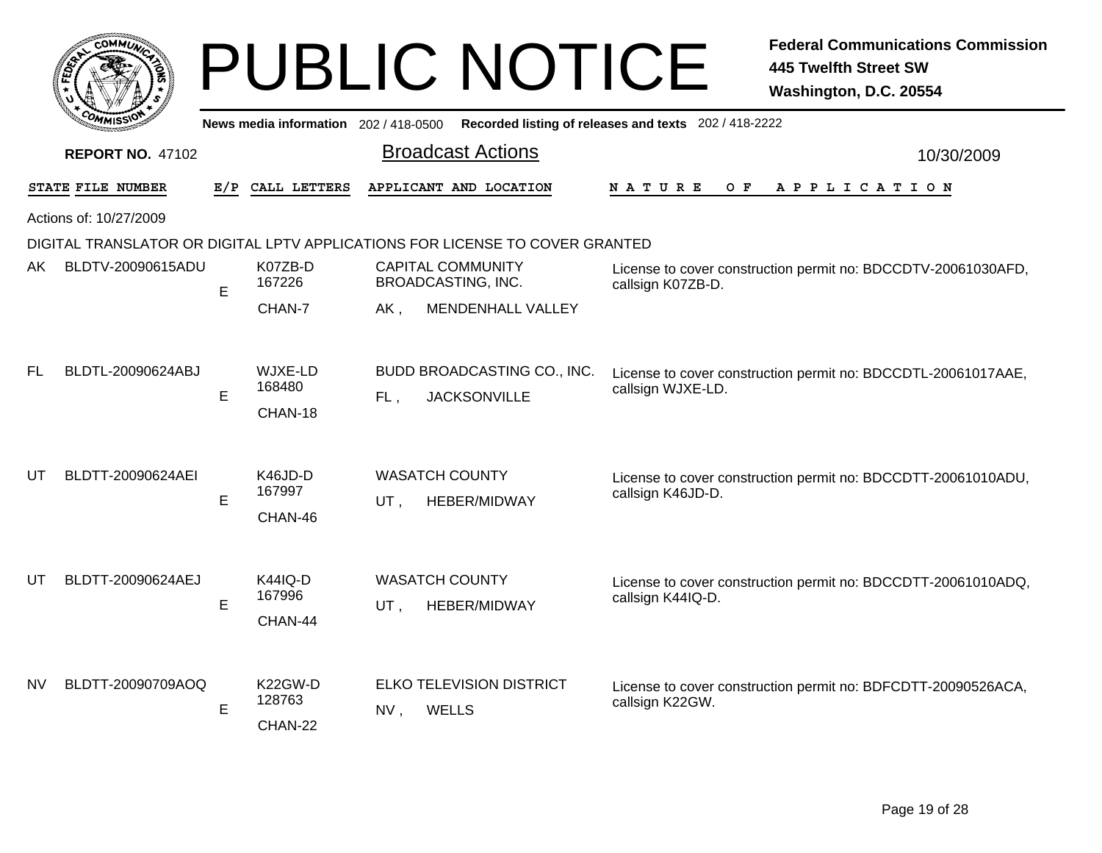|                        | c0<br><b>MMUNA</b> |
|------------------------|--------------------|
| FED <sub>EY</sub>      | ્                  |
|                        |                    |
| $c_{O_{\textit{M}_1}}$ | MISS               |

|           | יכצוומיזי                                                                    |     |                                     |     | News media information 202/418-0500 Recorded listing of releases and texts 202/418-2222 |                                                                                    |  |  |  |
|-----------|------------------------------------------------------------------------------|-----|-------------------------------------|-----|-----------------------------------------------------------------------------------------|------------------------------------------------------------------------------------|--|--|--|
|           | <b>REPORT NO. 47102</b>                                                      |     |                                     |     | <b>Broadcast Actions</b>                                                                | 10/30/2009                                                                         |  |  |  |
|           | STATE FILE NUMBER                                                            | E/P | CALL LETTERS                        |     | APPLICANT AND LOCATION                                                                  | NATURE<br>O F<br>A P P L I C A T I O N                                             |  |  |  |
|           | Actions of: 10/27/2009                                                       |     |                                     |     |                                                                                         |                                                                                    |  |  |  |
|           | DIGITAL TRANSLATOR OR DIGITAL LPTV APPLICATIONS FOR LICENSE TO COVER GRANTED |     |                                     |     |                                                                                         |                                                                                    |  |  |  |
| AK.       | BLDTV-20090615ADU                                                            | E   | K07ZB-D<br>167226                   |     | <b>CAPITAL COMMUNITY</b><br>BROADCASTING, INC.                                          | License to cover construction permit no: BDCCDTV-20061030AFD,<br>callsign K07ZB-D. |  |  |  |
|           |                                                                              |     | CHAN-7                              | AK, | MENDENHALL VALLEY                                                                       |                                                                                    |  |  |  |
| <b>FL</b> | BLDTL-20090624ABJ                                                            | E   | WJXE-LD<br>168480<br>CHAN-18        | FL, | BUDD BROADCASTING CO., INC.<br><b>JACKSONVILLE</b>                                      | License to cover construction permit no: BDCCDTL-20061017AAE,<br>callsign WJXE-LD. |  |  |  |
| UT        | BLDTT-20090624AEI                                                            | Е   | K46JD-D<br>167997<br>CHAN-46        | UT, | <b>WASATCH COUNTY</b><br>HEBER/MIDWAY                                                   | License to cover construction permit no: BDCCDTT-20061010ADU,<br>callsign K46JD-D. |  |  |  |
| UT        | BLDTT-20090624AEJ                                                            | E   | <b>K44IQ-D</b><br>167996<br>CHAN-44 | UT, | <b>WASATCH COUNTY</b><br><b>HEBER/MIDWAY</b>                                            | License to cover construction permit no: BDCCDTT-20061010ADQ,<br>callsign K44IQ-D. |  |  |  |
| <b>NV</b> | BLDTT-20090709AOQ                                                            | E   | K22GW-D<br>128763<br>CHAN-22        | NV, | ELKO TELEVISION DISTRICT<br><b>WELLS</b>                                                | License to cover construction permit no: BDFCDTT-20090526ACA,<br>callsign K22GW.   |  |  |  |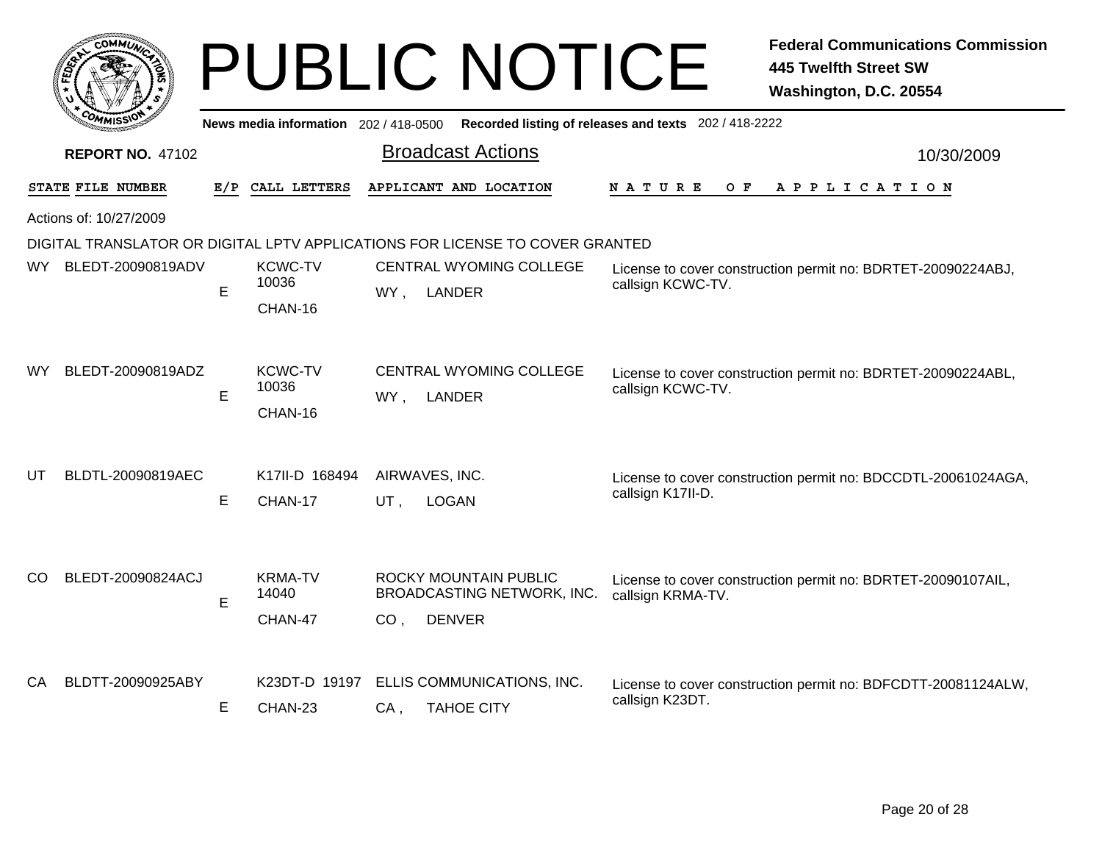|     | <b>COMMUT</b>           |     |                                       | <b>PUBLIC NOTICE</b>                                                         | <b>Federal Communications Commission</b><br><b>445 Twelfth Street SW</b><br>Washington, D.C. 20554 |
|-----|-------------------------|-----|---------------------------------------|------------------------------------------------------------------------------|----------------------------------------------------------------------------------------------------|
|     |                         |     | News media information 202 / 418-0500 |                                                                              | Recorded listing of releases and texts 202 / 418-2222                                              |
|     | <b>REPORT NO. 47102</b> |     |                                       | <b>Broadcast Actions</b>                                                     | 10/30/2009                                                                                         |
|     | STATE FILE NUMBER       | E/P | CALL LETTERS                          | APPLICANT AND LOCATION                                                       | N A T U R E<br>O F<br>APPLICATION                                                                  |
|     | Actions of: 10/27/2009  |     |                                       |                                                                              |                                                                                                    |
|     |                         |     |                                       | DIGITAL TRANSLATOR OR DIGITAL LPTV APPLICATIONS FOR LICENSE TO COVER GRANTED |                                                                                                    |
| WY. | BLEDT-20090819ADV       | E   | <b>KCWC-TV</b><br>10036<br>CHAN-16    | <b>CENTRAL WYOMING COLLEGE</b><br>WY, LANDER                                 | License to cover construction permit no: BDRTET-20090224ABJ,<br>callsign KCWC-TV.                  |
| WY. | BLEDT-20090819ADZ       | E   | <b>KCWC-TV</b><br>10036<br>CHAN-16    | CENTRAL WYOMING COLLEGE<br>WY,<br>LANDER                                     | License to cover construction permit no: BDRTET-20090224ABL,<br>callsign KCWC-TV.                  |
| UT  | BLDTL-20090819AEC       | E   | K17II-D 168494<br>CHAN-17             | AIRWAVES, INC.<br>UT,<br><b>LOGAN</b>                                        | License to cover construction permit no: BDCCDTL-20061024AGA,<br>callsign K17II-D.                 |
| CO  | BLEDT-20090824ACJ       | E   | <b>KRMA-TV</b><br>14040<br>CHAN-47    | ROCKY MOUNTAIN PUBLIC<br>BROADCASTING NETWORK, INC.<br><b>DENVER</b><br>CO.  | License to cover construction permit no: BDRTET-20090107AIL,<br>callsign KRMA-TV.                  |
| CA. | BLDTT-20090925ABY       | E   | K23DT-D 19197<br>CHAN-23              | ELLIS COMMUNICATIONS, INC.<br><b>TAHOE CITY</b><br>CA.                       | License to cover construction permit no: BDFCDTT-20081124ALW,<br>callsign K23DT.                   |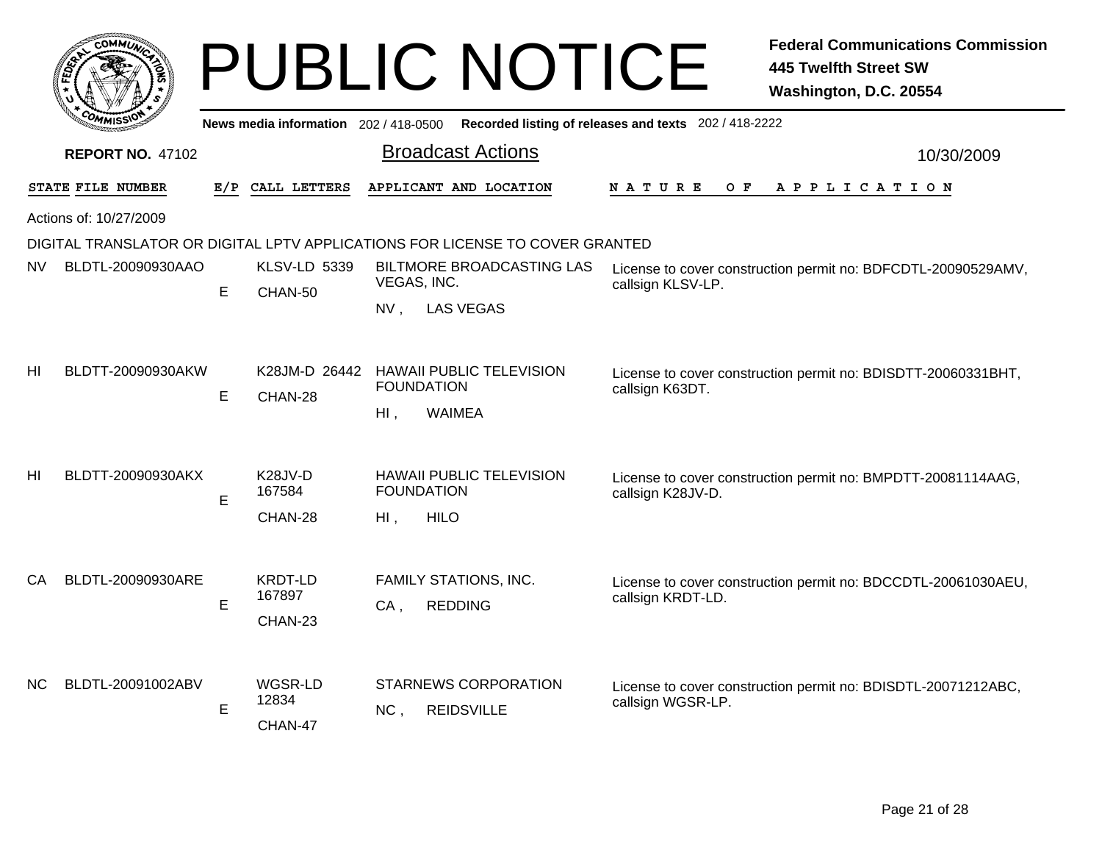|                |                         |     |                                           | <b>PUBLIC NOTICE</b>                                                         | <b>Federal Communications Commission</b><br><b>445 Twelfth Street SW</b><br>Washington, D.C. 20554 |
|----------------|-------------------------|-----|-------------------------------------------|------------------------------------------------------------------------------|----------------------------------------------------------------------------------------------------|
|                |                         |     | News media information $202/418-0500$     |                                                                              | Recorded listing of releases and texts 202 / 418-2222                                              |
|                | <b>REPORT NO. 47102</b> |     |                                           | <b>Broadcast Actions</b>                                                     | 10/30/2009                                                                                         |
|                | STATE FILE NUMBER       | E/P | CALL LETTERS                              | APPLICANT AND LOCATION                                                       | N A T U R E<br>O F<br>A P P L I C A T I O N                                                        |
|                | Actions of: 10/27/2009  |     |                                           |                                                                              |                                                                                                    |
|                |                         |     |                                           | DIGITAL TRANSLATOR OR DIGITAL LPTV APPLICATIONS FOR LICENSE TO COVER GRANTED |                                                                                                    |
| NV             | BLDTL-20090930AAO       | E   | <b>KLSV-LD 5339</b><br>CHAN-50            | BILTMORE BROADCASTING LAS<br>VEGAS, INC.                                     | License to cover construction permit no: BDFCDTL-20090529AMV,<br>callsign KLSV-LP.                 |
|                |                         |     |                                           | $NV$ ,<br><b>LAS VEGAS</b>                                                   |                                                                                                    |
| HI             | BLDTT-20090930AKW       | E   | K28JM-D 26442<br>CHAN-28                  | <b>HAWAII PUBLIC TELEVISION</b><br><b>FOUNDATION</b><br>HI.<br>WAIMEA        | License to cover construction permit no: BDISDTT-20060331BHT,<br>callsign K63DT.                   |
| H <sub>l</sub> | BLDTT-20090930AKX       | E   | K <sub>28</sub> JV-D<br>167584<br>CHAN-28 | <b>HAWAII PUBLIC TELEVISION</b><br><b>FOUNDATION</b><br><b>HILO</b><br>Hl,   | License to cover construction permit no: BMPDTT-20081114AAG,<br>callsign K28JV-D.                  |
| CA             | BLDTL-20090930ARE       | E   | <b>KRDT-LD</b><br>167897<br>CHAN-23       | FAMILY STATIONS, INC.<br>$CA$ ,<br><b>REDDING</b>                            | License to cover construction permit no: BDCCDTL-20061030AEU,<br>callsign KRDT-LD.                 |
| NC.            | BLDTL-20091002ABV       | E   | WGSR-LD<br>12834<br>CHAN-47               | <b>STARNEWS CORPORATION</b><br><b>REIDSVILLE</b><br>NC.                      | License to cover construction permit no: BDISDTL-20071212ABC,<br>callsign WGSR-LP.                 |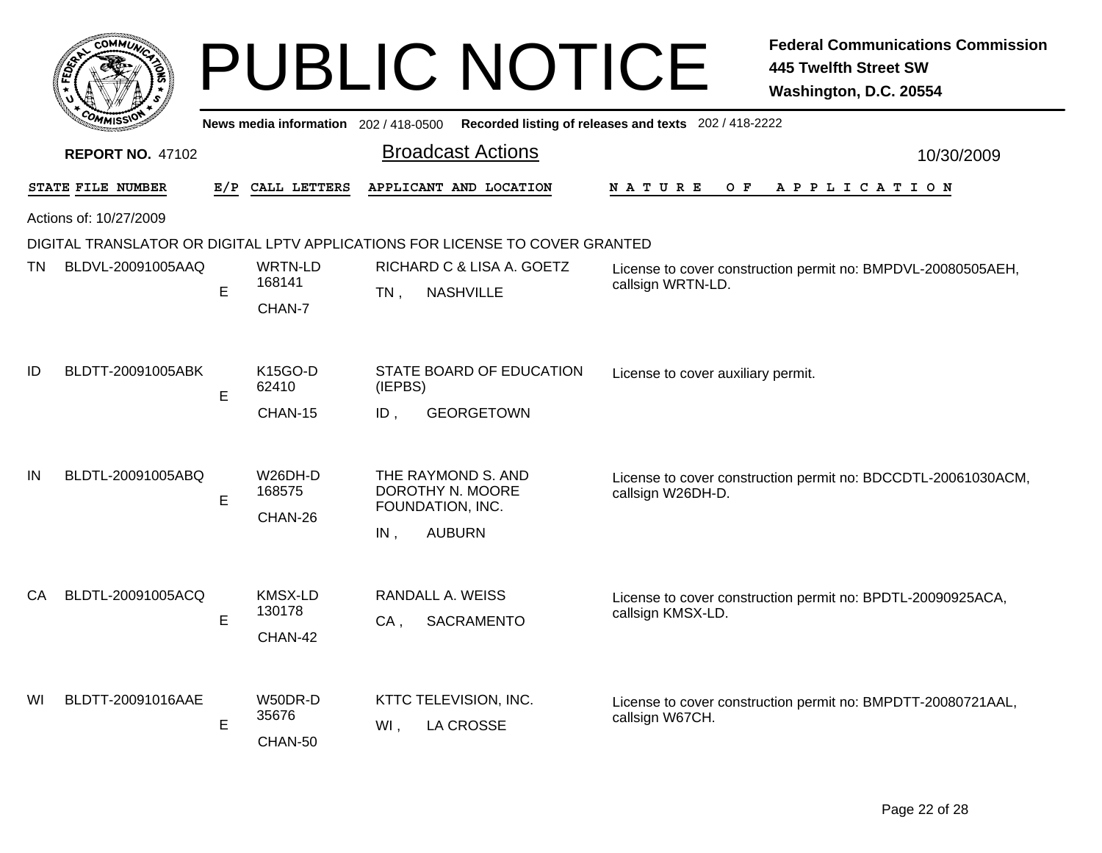| <b>COMMI</b>             |     |                                     | <b>PUBLIC NOTICE</b>                                                                  | <b>Federal Communications Commission</b><br><b>445 Twelfth Street SW</b><br>Washington, D.C. 20554 |            |
|--------------------------|-----|-------------------------------------|---------------------------------------------------------------------------------------|----------------------------------------------------------------------------------------------------|------------|
|                          |     | News media information 202/418-0500 |                                                                                       | Recorded listing of releases and texts 202 / 418-2222                                              |            |
| <b>REPORT NO. 47102</b>  |     |                                     | <b>Broadcast Actions</b>                                                              |                                                                                                    | 10/30/2009 |
| STATE FILE NUMBER        | E/P | CALL LETTERS                        | APPLICANT AND LOCATION                                                                | N A T U R E<br>O F<br>A P P L I C A T I O N                                                        |            |
| Actions of: 10/27/2009   |     |                                     |                                                                                       |                                                                                                    |            |
|                          |     |                                     | DIGITAL TRANSLATOR OR DIGITAL LPTV APPLICATIONS FOR LICENSE TO COVER GRANTED          |                                                                                                    |            |
| BLDVL-20091005AAQ<br>TN. | E   | WRTN-LD<br>168141<br>CHAN-7         | RICHARD C & LISA A. GOETZ<br><b>NASHVILLE</b><br>$TN$ ,                               | License to cover construction permit no: BMPDVL-20080505AEH,<br>callsign WRTN-LD.                  |            |
| ID<br>BLDTT-20091005ABK  | E   | K15GO-D<br>62410<br>CHAN-15         | STATE BOARD OF EDUCATION<br>(IEPBS)<br>ID.<br><b>GEORGETOWN</b>                       | License to cover auxiliary permit.                                                                 |            |
| BLDTL-20091005ABQ<br>IN  | Е   | W26DH-D<br>168575<br>CHAN-26        | THE RAYMOND S. AND<br>DOROTHY N. MOORE<br>FOUNDATION, INC.<br><b>AUBURN</b><br>$IN$ , | License to cover construction permit no: BDCCDTL-20061030ACM,<br>callsign W26DH-D.                 |            |
| BLDTL-20091005ACQ<br>СA  | Е   | <b>KMSX-LD</b><br>130178<br>CHAN-42 | RANDALL A. WEISS<br><b>SACRAMENTO</b><br>CA,                                          | License to cover construction permit no: BPDTL-20090925ACA,<br>callsign KMSX-LD.                   |            |
| BLDTT-20091016AAE<br>WI  | E   | W50DR-D<br>35676<br>CHAN-50         | KTTC TELEVISION, INC.<br>$WI$ ,<br><b>LA CROSSE</b>                                   | License to cover construction permit no: BMPDTT-20080721AAL,<br>callsign W67CH.                    |            |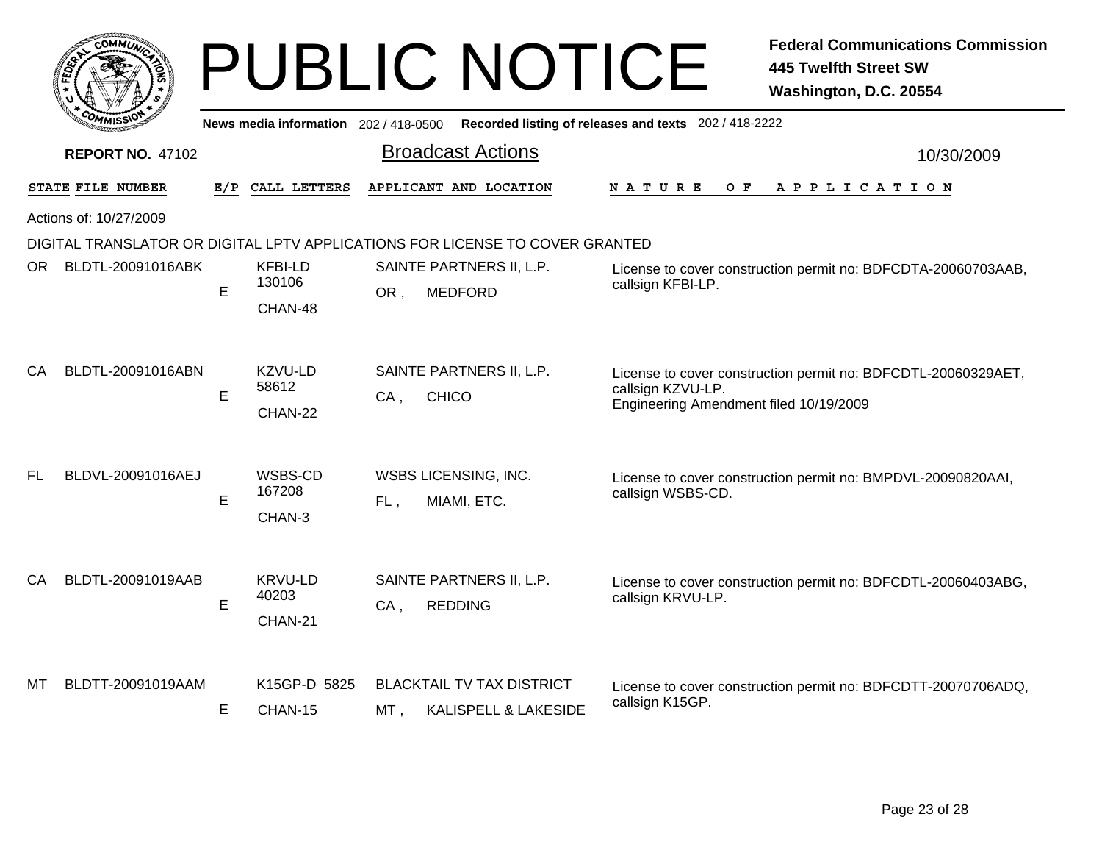|           |                         |     |                                     | <b>PUBLIC NOTICE</b>                                                         | <b>Federal Communications Commission</b><br><b>445 Twelfth Street SW</b><br>Washington, D.C. 20554                           |
|-----------|-------------------------|-----|-------------------------------------|------------------------------------------------------------------------------|------------------------------------------------------------------------------------------------------------------------------|
|           |                         |     | News media information 202/418-0500 |                                                                              | Recorded listing of releases and texts 202 / 418-2222                                                                        |
|           | <b>REPORT NO. 47102</b> |     |                                     | <b>Broadcast Actions</b>                                                     | 10/30/2009                                                                                                                   |
|           | STATE FILE NUMBER       | E/P | CALL LETTERS                        | APPLICANT AND LOCATION                                                       | <b>NATURE</b><br>O F<br>APPLICATION                                                                                          |
|           | Actions of: 10/27/2009  |     |                                     |                                                                              |                                                                                                                              |
|           |                         |     |                                     | DIGITAL TRANSLATOR OR DIGITAL LPTV APPLICATIONS FOR LICENSE TO COVER GRANTED |                                                                                                                              |
| ORI       | BLDTL-20091016ABK       | E   | <b>KFBI-LD</b><br>130106<br>CHAN-48 | SAINTE PARTNERS II, L.P.<br><b>MEDFORD</b><br>OR.                            | License to cover construction permit no: BDFCDTA-20060703AAB,<br>callsign KFBI-LP.                                           |
| CA        | BLDTL-20091016ABN       | E   | KZVU-LD<br>58612<br>CHAN-22         | SAINTE PARTNERS II, L.P.<br>$CA$ .<br><b>CHICO</b>                           | License to cover construction permit no: BDFCDTL-20060329AET,<br>callsign KZVU-LP.<br>Engineering Amendment filed 10/19/2009 |
| <b>FL</b> | BLDVL-20091016AEJ       | E   | WSBS-CD<br>167208<br>CHAN-3         | <b>WSBS LICENSING, INC.</b><br>FL,<br>MIAMI, ETC.                            | License to cover construction permit no: BMPDVL-20090820AAI,<br>callsign WSBS-CD.                                            |
| CA        | BLDTL-20091019AAB       | E   | <b>KRVU-LD</b><br>40203<br>CHAN-21  | SAINTE PARTNERS II, L.P.<br><b>REDDING</b><br>$CA$ ,                         | License to cover construction permit no: BDFCDTL-20060403ABG,<br>callsign KRVU-LP.                                           |
| МT        | BLDTT-20091019AAM       | Е   | K15GP-D 5825<br>CHAN-15             | <b>BLACKTAIL TV TAX DISTRICT</b><br><b>KALISPELL &amp; LAKESIDE</b><br>MT ,  | License to cover construction permit no: BDFCDTT-20070706ADQ,<br>callsign K15GP.                                             |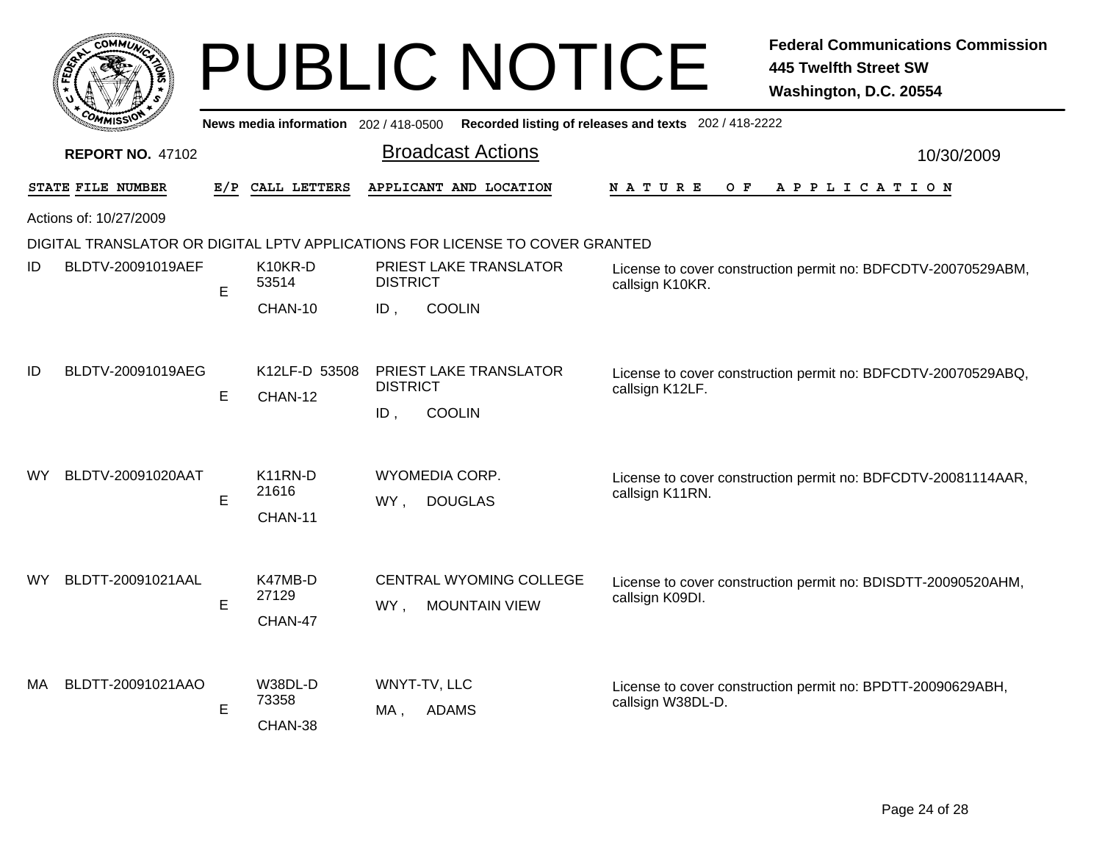|     |                         |     |                                          |                        | <b>PUBLIC NOTICE</b>                                                         |                                                       | <b>Federal Communications Commission</b><br>445 Twelfth Street SW<br>Washington, D.C. 20554 |
|-----|-------------------------|-----|------------------------------------------|------------------------|------------------------------------------------------------------------------|-------------------------------------------------------|---------------------------------------------------------------------------------------------|
|     |                         |     | News media information 202 / 418-0500    |                        |                                                                              | Recorded listing of releases and texts 202 / 418-2222 |                                                                                             |
|     | <b>REPORT NO. 47102</b> |     |                                          |                        | <b>Broadcast Actions</b>                                                     |                                                       | 10/30/2009                                                                                  |
|     | STATE FILE NUMBER       | E/P | CALL LETTERS                             |                        | APPLICANT AND LOCATION                                                       | O F<br>N A T U R E                                    | A P P L I C A T I O N                                                                       |
|     | Actions of: 10/27/2009  |     |                                          |                        |                                                                              |                                                       |                                                                                             |
|     |                         |     |                                          |                        | DIGITAL TRANSLATOR OR DIGITAL LPTV APPLICATIONS FOR LICENSE TO COVER GRANTED |                                                       |                                                                                             |
| ID  | BLDTV-20091019AEF       | E   | K10KR-D<br>53514                         | <b>DISTRICT</b>        | PRIEST LAKE TRANSLATOR                                                       | callsign K10KR.                                       | License to cover construction permit no: BDFCDTV-20070529ABM,                               |
|     |                         |     | CHAN-10                                  | ID.                    | <b>COOLIN</b>                                                                |                                                       |                                                                                             |
| ID  | BLDTV-20091019AEG       | E   | K12LF-D 53508<br>CHAN-12                 | <b>DISTRICT</b><br>ID. | PRIEST LAKE TRANSLATOR<br><b>COOLIN</b>                                      | callsign K12LF.                                       | License to cover construction permit no: BDFCDTV-20070529ABQ,                               |
| WY  | BLDTV-20091020AAT       | E   | K <sub>11</sub> RN-D<br>21616<br>CHAN-11 | WY,                    | WYOMEDIA CORP.<br><b>DOUGLAS</b>                                             | callsign K11RN.                                       | License to cover construction permit no: BDFCDTV-20081114AAR,                               |
| WY  | BLDTT-20091021AAL       | E   | K47MB-D<br>27129<br>CHAN-47              | WY,                    | <b>CENTRAL WYOMING COLLEGE</b><br><b>MOUNTAIN VIEW</b>                       | callsign K09DI.                                       | License to cover construction permit no: BDISDTT-20090520AHM,                               |
| MA. | BLDTT-20091021AAO       | E   | W38DL-D<br>73358<br>CHAN-38              | MA.                    | WNYT-TV, LLC<br><b>ADAMS</b>                                                 | callsign W38DL-D.                                     | License to cover construction permit no: BPDTT-20090629ABH,                                 |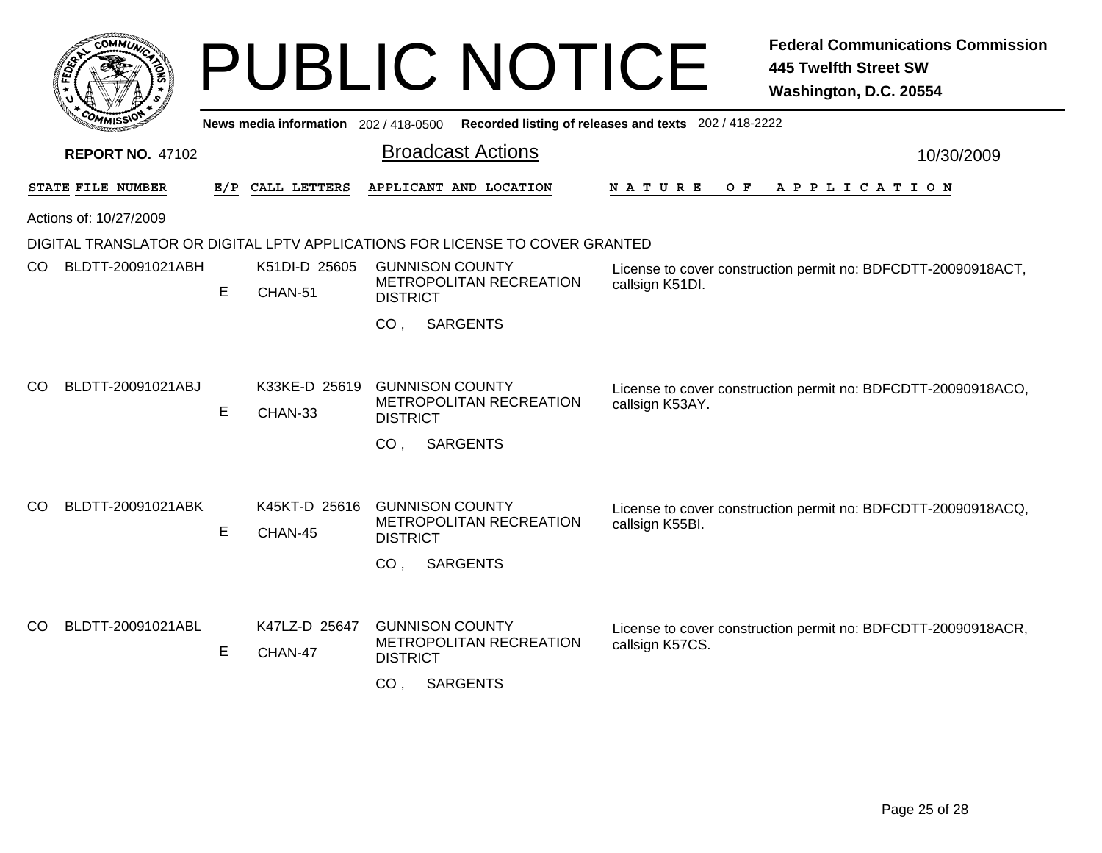|     |                         |    |                                       | <b>PUBLIC NOTICE</b>                                                                                       | <b>Federal Communications Commission</b><br><b>445 Twelfth Street SW</b><br>Washington, D.C. 20554 |
|-----|-------------------------|----|---------------------------------------|------------------------------------------------------------------------------------------------------------|----------------------------------------------------------------------------------------------------|
|     |                         |    | News media information 202 / 418-0500 |                                                                                                            | Recorded listing of releases and texts 202 / 418-2222                                              |
|     | <b>REPORT NO. 47102</b> |    |                                       | <b>Broadcast Actions</b>                                                                                   | 10/30/2009                                                                                         |
|     | STATE FILE NUMBER       |    | E/P CALL LETTERS                      | APPLICANT AND LOCATION                                                                                     | N A T U R E<br>O F<br>APPLICATION                                                                  |
|     | Actions of: 10/27/2009  |    |                                       |                                                                                                            |                                                                                                    |
|     |                         |    |                                       | DIGITAL TRANSLATOR OR DIGITAL LPTV APPLICATIONS FOR LICENSE TO COVER GRANTED                               |                                                                                                    |
| CO. | BLDTT-20091021ABH       | E  | K51DI-D 25605<br>CHAN-51              | <b>GUNNISON COUNTY</b><br>METROPOLITAN RECREATION<br><b>DISTRICT</b>                                       | License to cover construction permit no: BDFCDTT-20090918ACT,<br>callsign K51DI.                   |
|     |                         |    |                                       | <b>SARGENTS</b><br>CO.                                                                                     |                                                                                                    |
| CO  | BLDTT-20091021ABJ       | E. | K33KE-D 25619<br>CHAN-33              | <b>GUNNISON COUNTY</b><br>METROPOLITAN RECREATION<br><b>DISTRICT</b><br><b>SARGENTS</b><br>CO.             | License to cover construction permit no: BDFCDTT-20090918ACO,<br>callsign K53AY.                   |
| CO  | BLDTT-20091021ABK       | E  | K45KT-D 25616<br>CHAN-45              | <b>GUNNISON COUNTY</b><br>METROPOLITAN RECREATION<br><b>DISTRICT</b><br><b>SARGENTS</b><br>CO <sub>1</sub> | License to cover construction permit no: BDFCDTT-20090918ACQ,<br>callsign K55BI.                   |
| CO  | BLDTT-20091021ABL       | Е  | K47LZ-D 25647<br>CHAN-47              | <b>GUNNISON COUNTY</b><br>METROPOLITAN RECREATION<br><b>DISTRICT</b><br><b>SARGENTS</b><br>CO.             | License to cover construction permit no: BDFCDTT-20090918ACR,<br>callsign K57CS.                   |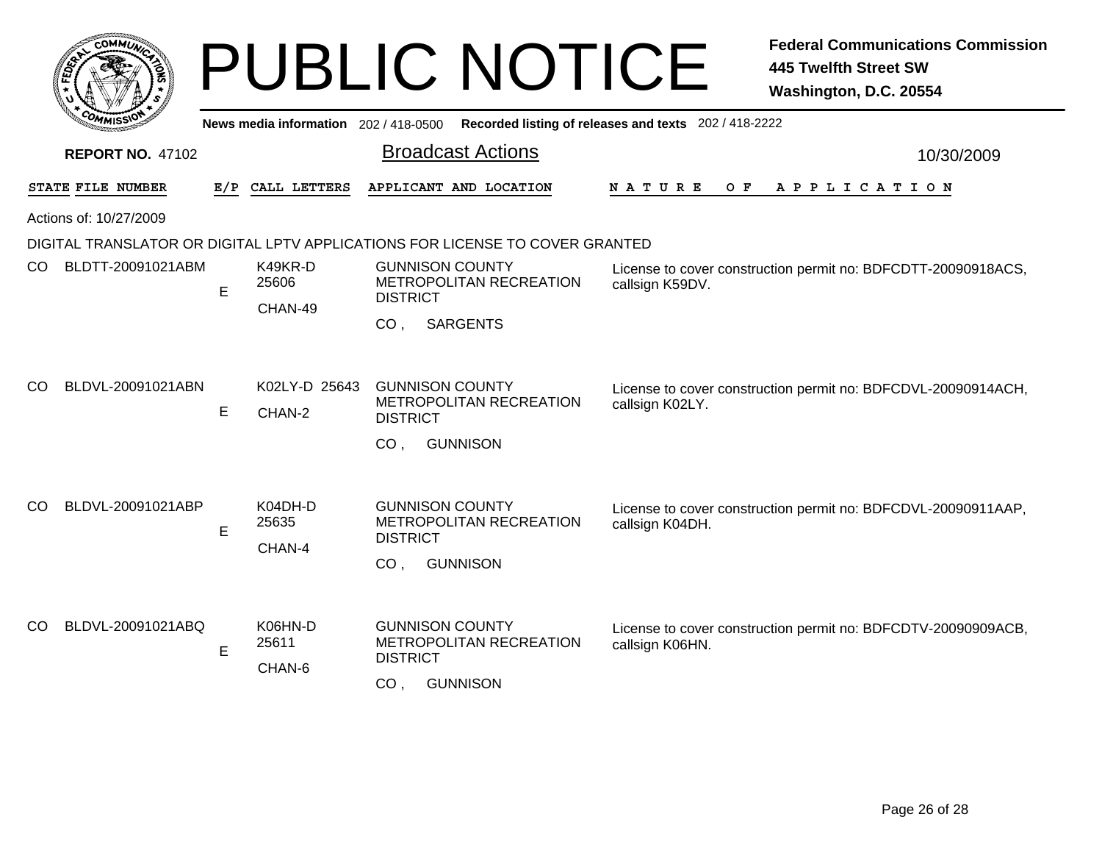|     |                         |     |                                       | <b>PUBLIC NOTICE</b>                                                                                              | <b>Federal Communications Commission</b><br><b>445 Twelfth Street SW</b><br>Washington, D.C. 20554 |
|-----|-------------------------|-----|---------------------------------------|-------------------------------------------------------------------------------------------------------------------|----------------------------------------------------------------------------------------------------|
|     |                         |     | News media information 202 / 418-0500 |                                                                                                                   | Recorded listing of releases and texts 202 / 418-2222                                              |
|     | <b>REPORT NO. 47102</b> |     |                                       | <b>Broadcast Actions</b>                                                                                          | 10/30/2009                                                                                         |
|     | STATE FILE NUMBER       | E/P | CALL LETTERS                          | APPLICANT AND LOCATION                                                                                            | N A T U R E<br>O F<br>A P P L I C A T I O N                                                        |
|     | Actions of: 10/27/2009  |     |                                       |                                                                                                                   |                                                                                                    |
|     |                         |     |                                       | DIGITAL TRANSLATOR OR DIGITAL LPTV APPLICATIONS FOR LICENSE TO COVER GRANTED                                      |                                                                                                    |
| CO. | BLDTT-20091021ABM       | E   | K49KR-D<br>25606<br>CHAN-49           | <b>GUNNISON COUNTY</b><br>METROPOLITAN RECREATION<br><b>DISTRICT</b>                                              | License to cover construction permit no: BDFCDTT-20090918ACS,<br>callsign K59DV.                   |
|     |                         |     |                                       | <b>SARGENTS</b><br>CO <sub>1</sub>                                                                                |                                                                                                    |
| CO  | BLDVL-20091021ABN       | E.  | K02LY-D 25643<br>CHAN-2               | <b>GUNNISON COUNTY</b><br>METROPOLITAN RECREATION<br><b>DISTRICT</b>                                              | License to cover construction permit no: BDFCDVL-20090914ACH,<br>callsign K02LY.                   |
| CO  | BLDVL-20091021ABP       |     | K04DH-D                               | <b>GUNNISON</b><br>CO <sub>1</sub><br><b>GUNNISON COUNTY</b>                                                      | License to cover construction permit no: BDFCDVL-20090911AAP,                                      |
|     |                         | E   | 25635<br>CHAN-4                       | METROPOLITAN RECREATION<br><b>DISTRICT</b>                                                                        | callsign K04DH.                                                                                    |
|     |                         |     |                                       | <b>GUNNISON</b><br>CO.                                                                                            |                                                                                                    |
| CO  | BLDVL-20091021ABQ       | E   | K06HN-D<br>25611<br>CHAN-6            | <b>GUNNISON COUNTY</b><br><b>METROPOLITAN RECREATION</b><br><b>DISTRICT</b><br>CO <sub>1</sub><br><b>GUNNISON</b> | License to cover construction permit no: BDFCDTV-20090909ACB,<br>callsign K06HN.                   |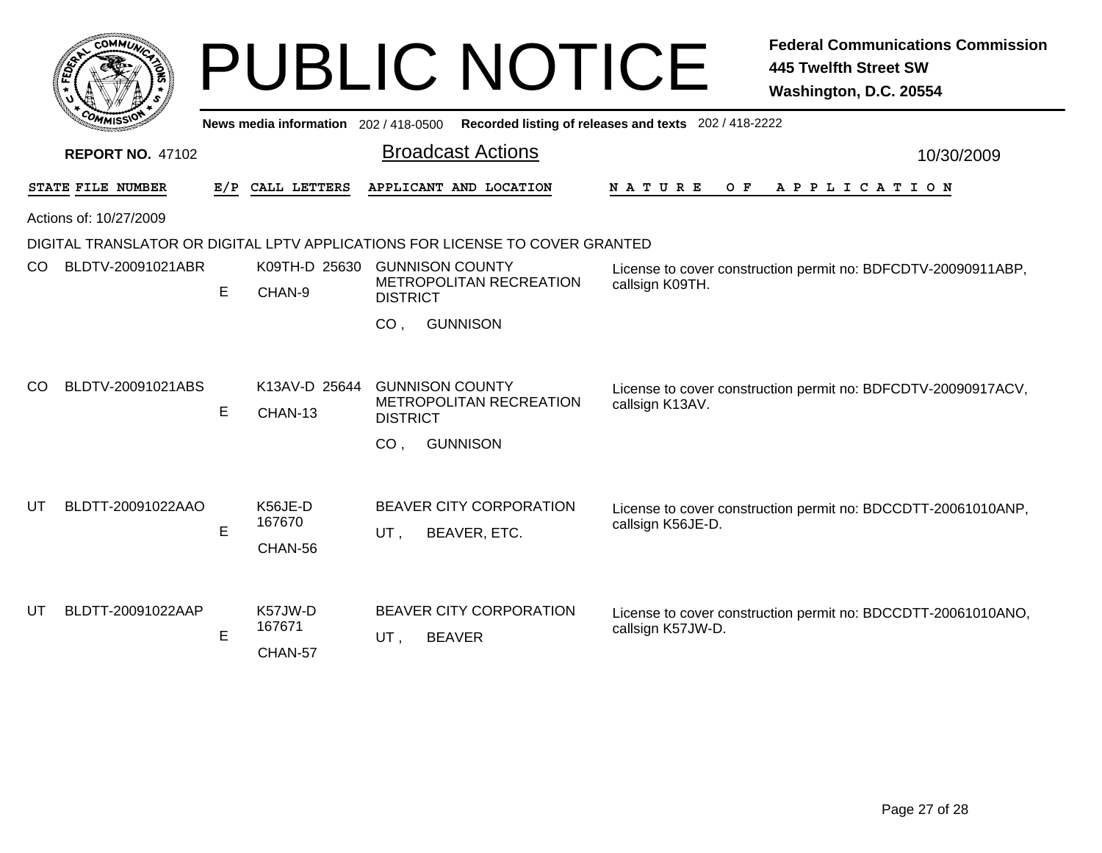|                         | COMMUN                 |     |                                     | <b>PUBLIC NOTICE</b>                                                         | <b>Federal Communications Commission</b><br><b>445 Twelfth Street SW</b><br>Washington, D.C. 20554 |
|-------------------------|------------------------|-----|-------------------------------------|------------------------------------------------------------------------------|----------------------------------------------------------------------------------------------------|
|                         |                        |     | News media information 202/418-0500 |                                                                              | Recorded listing of releases and texts 202 / 418-2222                                              |
| <b>REPORT NO. 47102</b> |                        |     |                                     | <b>Broadcast Actions</b>                                                     | 10/30/2009                                                                                         |
|                         | STATE FILE NUMBER      | E/P | CALL LETTERS                        | APPLICANT AND LOCATION                                                       | N A T U R E<br>O F<br>A P P L I C A T I O N                                                        |
|                         | Actions of: 10/27/2009 |     |                                     |                                                                              |                                                                                                    |
|                         |                        |     |                                     | DIGITAL TRANSLATOR OR DIGITAL LPTV APPLICATIONS FOR LICENSE TO COVER GRANTED |                                                                                                    |
| CO.                     | BLDTV-20091021ABR      | E   | K09TH-D 25630<br>CHAN-9             | <b>GUNNISON COUNTY</b><br><b>METROPOLITAN RECREATION</b><br><b>DISTRICT</b>  | License to cover construction permit no: BDFCDTV-20090911ABP,<br>callsign K09TH.                   |
|                         |                        |     |                                     | CO <sub>1</sub><br><b>GUNNISON</b>                                           |                                                                                                    |
| <b>CO</b>               | BLDTV-20091021ABS      | E   | K13AV-D 25644<br>CHAN-13            | <b>GUNNISON COUNTY</b><br>METROPOLITAN RECREATION<br><b>DISTRICT</b>         | License to cover construction permit no: BDFCDTV-20090917ACV,<br>callsign K13AV.                   |
|                         |                        |     |                                     | <b>GUNNISON</b><br>CO <sub>1</sub>                                           |                                                                                                    |
| UT                      | BLDTT-20091022AAO      |     | K56JE-D<br>167670                   | BEAVER CITY CORPORATION                                                      | License to cover construction permit no: BDCCDTT-20061010ANP,<br>callsign K56JE-D.                 |
|                         |                        | E   | CHAN-56                             | BEAVER, ETC.<br>UT,                                                          |                                                                                                    |
| UT                      | BLDTT-20091022AAP      | E   | K57JW-D<br>167671<br>CHAN-57        | <b>BEAVER CITY CORPORATION</b><br><b>BEAVER</b><br>UT,                       | License to cover construction permit no: BDCCDTT-20061010ANO,<br>callsign K57JW-D.                 |